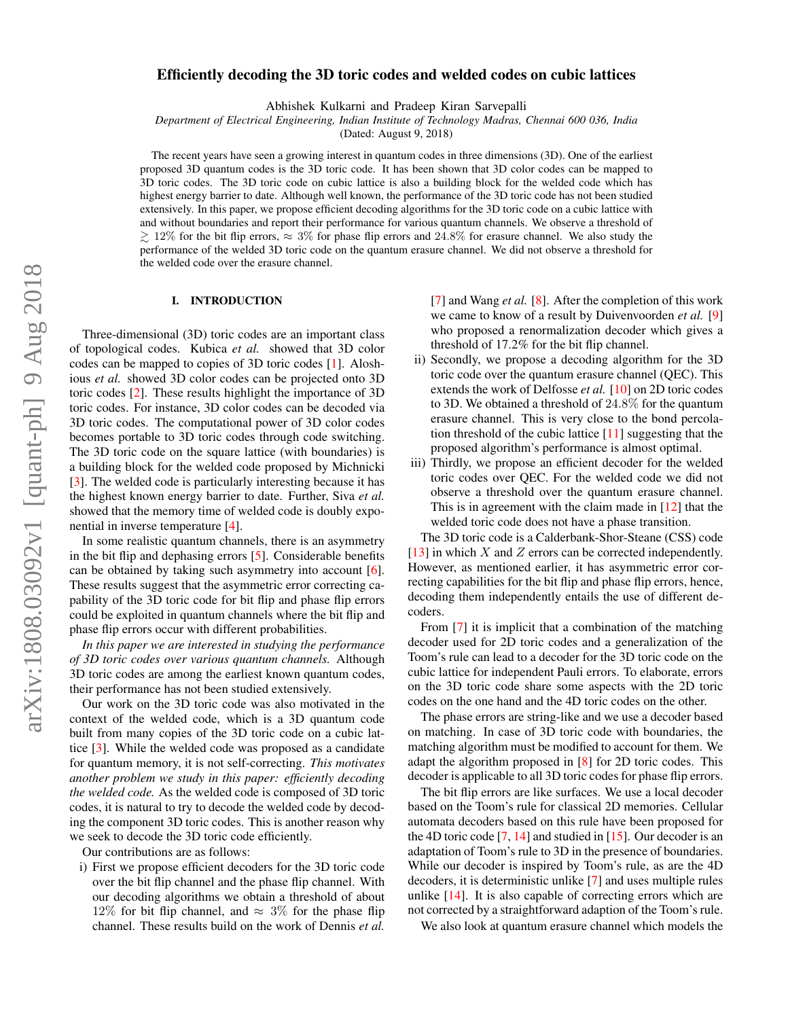# Efficiently decoding the 3D toric codes and welded codes on cubic lattices

Abhishek Kulkarni and Pradeep Kiran Sarvepalli

*Department of Electrical Engineering, Indian Institute of Technology Madras, Chennai 600 036, India*

(Dated: August 9, 2018)

The recent years have seen a growing interest in quantum codes in three dimensions (3D). One of the earliest proposed 3D quantum codes is the 3D toric code. It has been shown that 3D color codes can be mapped to 3D toric codes. The 3D toric code on cubic lattice is also a building block for the welded code which has highest energy barrier to date. Although well known, the performance of the 3D toric code has not been studied extensively. In this paper, we propose efficient decoding algorithms for the 3D toric code on a cubic lattice with and without boundaries and report their performance for various quantum channels. We observe a threshold of  $\gtrsim 12\%$  for the bit flip errors,  $\approx 3\%$  for phase flip errors and 24.8% for erasure channel. We also study the performance of the welded 3D toric code on the quantum erasure channel. We did not observe a threshold for the welded code over the erasure channel.

## I. INTRODUCTION

Three-dimensional (3D) toric codes are an important class of topological codes. Kubica *et al.* showed that 3D color codes can be mapped to copies of 3D toric codes [\[1\]](#page-16-0). Aloshious *et al.* showed 3D color codes can be projected onto 3D toric codes [\[2\]](#page-16-1). These results highlight the importance of 3D toric codes. For instance, 3D color codes can be decoded via 3D toric codes. The computational power of 3D color codes becomes portable to 3D toric codes through code switching. The 3D toric code on the square lattice (with boundaries) is a building block for the welded code proposed by Michnicki [\[3\]](#page-16-2). The welded code is particularly interesting because it has the highest known energy barrier to date. Further, Siva *et al.* showed that the memory time of welded code is doubly exponential in inverse temperature [\[4\]](#page-16-3).

In some realistic quantum channels, there is an asymmetry in the bit flip and dephasing errors [\[5\]](#page-16-4). Considerable benefits can be obtained by taking such asymmetry into account [\[6\]](#page-16-5). These results suggest that the asymmetric error correcting capability of the 3D toric code for bit flip and phase flip errors could be exploited in quantum channels where the bit flip and phase flip errors occur with different probabilities.

*In this paper we are interested in studying the performance of 3D toric codes over various quantum channels.* Although 3D toric codes are among the earliest known quantum codes, their performance has not been studied extensively.

Our work on the 3D toric code was also motivated in the context of the welded code, which is a 3D quantum code built from many copies of the 3D toric code on a cubic lattice [\[3\]](#page-16-2). While the welded code was proposed as a candidate for quantum memory, it is not self-correcting. *This motivates another problem we study in this paper: efficiently decoding the welded code.* As the welded code is composed of 3D toric codes, it is natural to try to decode the welded code by decoding the component 3D toric codes. This is another reason why we seek to decode the 3D toric code efficiently.

Our contributions are as follows:

i) First we propose efficient decoders for the 3D toric code over the bit flip channel and the phase flip channel. With our decoding algorithms we obtain a threshold of about 12% for bit flip channel, and  $\approx 3\%$  for the phase flip channel. These results build on the work of Dennis *et al.*

[\[7\]](#page-16-6) and Wang *et al.* [\[8\]](#page-16-7). After the completion of this work we came to know of a result by Duivenvoorden *et al.* [\[9\]](#page-16-8) who proposed a renormalization decoder which gives a threshold of 17.2% for the bit flip channel.

- ii) Secondly, we propose a decoding algorithm for the 3D toric code over the quantum erasure channel (QEC). This extends the work of Delfosse *et al.* [\[10\]](#page-16-9) on 2D toric codes to 3D. We obtained a threshold of 24.8% for the quantum erasure channel. This is very close to the bond percolation threshold of the cubic lattice  $[11]$  suggesting that the proposed algorithm's performance is almost optimal.
- iii) Thirdly, we propose an efficient decoder for the welded toric codes over QEC. For the welded code we did not observe a threshold over the quantum erasure channel. This is in agreement with the claim made in  $[12]$  that the welded toric code does not have a phase transition.

The 3D toric code is a Calderbank-Shor-Steane (CSS) code [\[13\]](#page-16-12) in which  $X$  and  $Z$  errors can be corrected independently. However, as mentioned earlier, it has asymmetric error correcting capabilities for the bit flip and phase flip errors, hence, decoding them independently entails the use of different decoders.

From [\[7\]](#page-16-6) it is implicit that a combination of the matching decoder used for 2D toric codes and a generalization of the Toom's rule can lead to a decoder for the 3D toric code on the cubic lattice for independent Pauli errors. To elaborate, errors on the 3D toric code share some aspects with the 2D toric codes on the one hand and the 4D toric codes on the other.

The phase errors are string-like and we use a decoder based on matching. In case of 3D toric code with boundaries, the matching algorithm must be modified to account for them. We adapt the algorithm proposed in [\[8\]](#page-16-7) for 2D toric codes. This decoder is applicable to all 3D toric codes for phase flip errors.

The bit flip errors are like surfaces. We use a local decoder based on the Toom's rule for classical 2D memories. Cellular automata decoders based on this rule have been proposed for the 4D toric code  $[7, 14]$  $[7, 14]$  $[7, 14]$  and studied in  $[15]$ . Our decoder is an adaptation of Toom's rule to 3D in the presence of boundaries. While our decoder is inspired by Toom's rule, as are the 4D decoders, it is deterministic unlike [\[7\]](#page-16-6) and uses multiple rules unlike [\[14\]](#page-16-13). It is also capable of correcting errors which are not corrected by a straightforward adaption of the Toom's rule.

We also look at quantum erasure channel which models the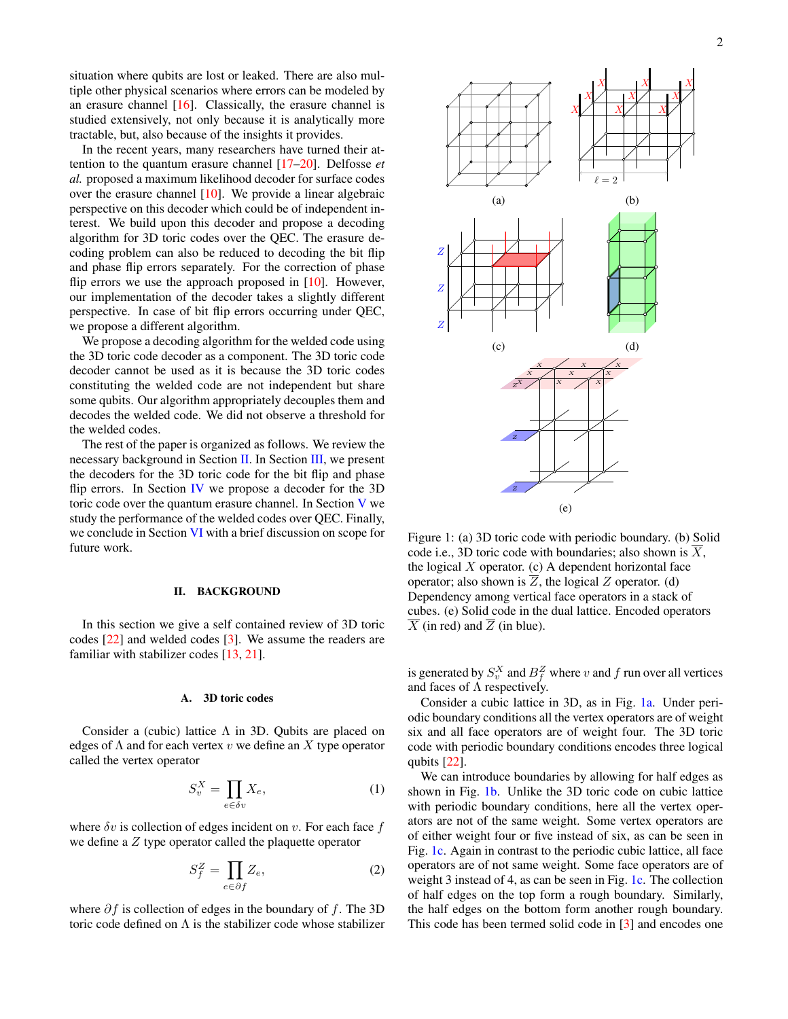situation where qubits are lost or leaked. There are also multiple other physical scenarios where errors can be modeled by an erasure channel  $[16]$ . Classically, the erasure channel is studied extensively, not only because it is analytically more tractable, but, also because of the insights it provides.

In the recent years, many researchers have turned their attention to the quantum erasure channel [\[17](#page-16-16)[–20\]](#page-16-17). Delfosse *et al.* proposed a maximum likelihood decoder for surface codes over the erasure channel  $[10]$ . We provide a linear algebraic perspective on this decoder which could be of independent interest. We build upon this decoder and propose a decoding algorithm for 3D toric codes over the QEC. The erasure decoding problem can also be reduced to decoding the bit flip and phase flip errors separately. For the correction of phase flip errors we use the approach proposed in  $[10]$ . However, our implementation of the decoder takes a slightly different perspective. In case of bit flip errors occurring under QEC, we propose a different algorithm.

We propose a decoding algorithm for the welded code using the 3D toric code decoder as a component. The 3D toric code decoder cannot be used as it is because the 3D toric codes constituting the welded code are not independent but share some qubits. Our algorithm appropriately decouples them and decodes the welded code. We did not observe a threshold for the welded codes.

The rest of the paper is organized as follows. We review the necessary background in Section [II.](#page-1-0) In Section [III,](#page-4-0) we present the decoders for the 3D toric code for the bit flip and phase flip errors. In Section [IV](#page-8-0) we propose a decoder for the 3D toric code over the quantum erasure channel. In Section [V](#page-14-0) we study the performance of the welded codes over QEC. Finally, we conclude in Section [VI](#page-16-18) with a brief discussion on scope for future work.

### <span id="page-1-0"></span>II. BACKGROUND

In this section we give a self contained review of 3D toric codes [\[22\]](#page-16-19) and welded codes [\[3\]](#page-16-2). We assume the readers are familiar with stabilizer codes [\[13,](#page-16-12) [21\]](#page-16-20).

#### A. 3D toric codes

Consider a (cubic) lattice  $\Lambda$  in 3D. Qubits are placed on edges of  $\Lambda$  and for each vertex v we define an X type operator called the vertex operator

$$
S_v^X = \prod_{e \in \delta v} X_e,\tag{1}
$$

where  $\delta v$  is collection of edges incident on v. For each face f we define a Z type operator called the plaquette operator

$$
S_f^Z = \prod_{e \in \partial f} Z_e,\tag{2}
$$

where  $\partial f$  is collection of edges in the boundary of f. The 3D toric code defined on  $\Lambda$  is the stabilizer code whose stabilizer

<span id="page-1-1"></span>

Figure 1: (a) 3D toric code with periodic boundary. (b) Solid code i.e., 3D toric code with boundaries; also shown is  $\overline{X}$ , the logical  $X$  operator. (c) A dependent horizontal face operator; also shown is  $\overline{Z}$ , the logical Z operator. (d) Dependency among vertical face operators in a stack of cubes. (e) Solid code in the dual lattice. Encoded operators  $\overline{X}$  (in red) and  $\overline{Z}$  (in blue).

is generated by  $S_v^X$  and  $B_f^Z$  where v and f run over all vertices and faces of  $\Lambda$  respectively.

Consider a cubic lattice in 3D, as in Fig. [1a.](#page-1-1) Under periodic boundary conditions all the vertex operators are of weight six and all face operators are of weight four. The 3D toric code with periodic boundary conditions encodes three logical qubits [\[22\]](#page-16-19).

We can introduce boundaries by allowing for half edges as shown in Fig. [1b.](#page-1-1) Unlike the 3D toric code on cubic lattice with periodic boundary conditions, here all the vertex operators are not of the same weight. Some vertex operators are of either weight four or five instead of six, as can be seen in Fig. [1c.](#page-1-1) Again in contrast to the periodic cubic lattice, all face operators are of not same weight. Some face operators are of weight 3 instead of 4, as can be seen in Fig. [1c.](#page-1-1) The collection of half edges on the top form a rough boundary. Similarly, the half edges on the bottom form another rough boundary. This code has been termed solid code in [\[3\]](#page-16-2) and encodes one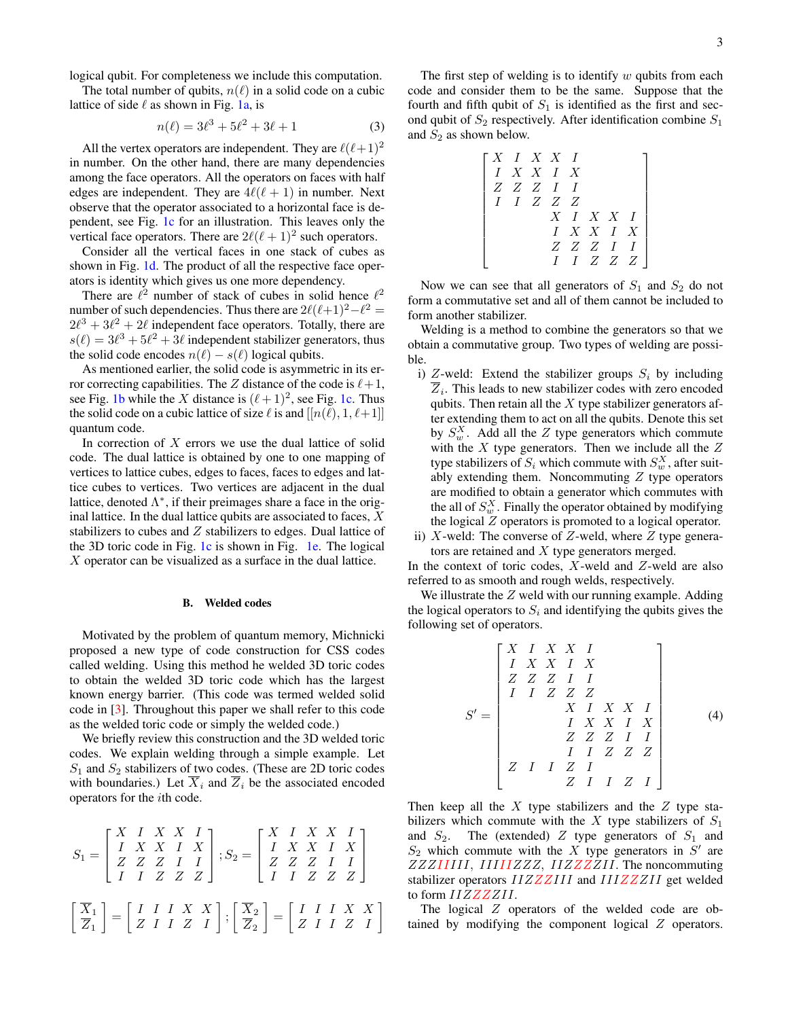logical qubit. For completeness we include this computation.

The total number of qubits,  $n(\ell)$  in a solid code on a cubic lattice of side  $\ell$  as shown in Fig. [1a,](#page-1-1) is

<span id="page-2-0"></span>
$$
n(\ell) = 3\ell^3 + 5\ell^2 + 3\ell + 1\tag{3}
$$

All the vertex operators are independent. They are  $\ell(\ell+1)^2$ in number. On the other hand, there are many dependencies among the face operators. All the operators on faces with half edges are independent. They are  $4\ell(\ell + 1)$  in number. Next observe that the operator associated to a horizontal face is dependent, see Fig. [1c](#page-1-1) for an illustration. This leaves only the vertical face operators. There are  $2\ell(\ell + 1)^2$  such operators.

Consider all the vertical faces in one stack of cubes as shown in Fig. [1d.](#page-1-1) The product of all the respective face operators is identity which gives us one more dependency.

There are  $\ell^2$  number of stack of cubes in solid hence  $\ell^2$ number of such dependencies. Thus there are  $2\ell(\ell+1)^2-\ell^2 =$  $2\ell^3 + 3\ell^2 + 2\ell$  independent face operators. Totally, there are  $s(\ell) = 3\ell^3 + 5\ell^2 + 3\ell$  independent stabilizer generators, thus the solid code encodes  $n(\ell) - s(\ell)$  logical qubits.

As mentioned earlier, the solid code is asymmetric in its error correcting capabilities. The Z distance of the code is  $\ell+1$ , see Fig. [1b](#page-1-1) while the X distance is  $(\ell + 1)^2$ , see Fig. [1c.](#page-1-1) Thus the solid code on a cubic lattice of size  $\ell$  is and  $[[n(\ell), 1, \ell+1]]$ quantum code.

In correction of  $X$  errors we use the dual lattice of solid code. The dual lattice is obtained by one to one mapping of vertices to lattice cubes, edges to faces, faces to edges and lattice cubes to vertices. Two vertices are adjacent in the dual lattice, denoted  $\Lambda^*$ , if their preimages share a face in the original lattice. In the dual lattice qubits are associated to faces,  $X$ stabilizers to cubes and Z stabilizers to edges. Dual lattice of the 3D toric code in Fig. [1c](#page-1-1) is shown in Fig. [1e.](#page-1-1) The logical X operator can be visualized as a surface in the dual lattice.

#### B. Welded codes

Motivated by the problem of quantum memory, Michnicki proposed a new type of code construction for CSS codes called welding. Using this method he welded 3D toric codes to obtain the welded 3D toric code which has the largest known energy barrier. (This code was termed welded solid code in [\[3\]](#page-16-2). Throughout this paper we shall refer to this code as the welded toric code or simply the welded code.)

We briefly review this construction and the 3D welded toric codes. We explain welding through a simple example. Let  $S_1$  and  $S_2$  stabilizers of two codes. (These are 2D toric codes with boundaries.) Let  $\overline{X}_i$  and  $\overline{Z}_i$  be the associated encoded operators for the ith code.

$$
S_1 = \begin{bmatrix} X & I & X & X & I \\ I & X & X & I & X \\ Z & Z & Z & I & I \\ I & I & Z & Z & Z \end{bmatrix}; S_2 = \begin{bmatrix} X & I & X & X & I \\ I & X & X & I & X \\ Z & Z & Z & I & I \\ I & I & Z & Z & Z \end{bmatrix}
$$

$$
\begin{bmatrix} \overline{X}_1 \\ \overline{Z}_1 \end{bmatrix} = \begin{bmatrix} I & I & I & X & X \\ Z & I & I & Z & I \\ Z & I & I & Z & I \end{bmatrix}; \begin{bmatrix} \overline{X}_2 \\ \overline{Z}_2 \end{bmatrix} = \begin{bmatrix} I & I & I & X & X \\ Z & I & I & Z & I \\ Z & I & I & Z & I \end{bmatrix}
$$

The first step of welding is to identify  $w$  qubits from each code and consider them to be the same. Suppose that the fourth and fifth qubit of  $S_1$  is identified as the first and second qubit of  $S_2$  respectively. After identification combine  $S_1$ and  $S_2$  as shown below.

> $\lceil$  $\overline{1}$  $\overline{1}$  $\overline{1}$  $\overline{1}$  $\overline{1}$  $\overline{1}$  $\overline{1}$  $\overline{1}$  $\overline{1}$  $\overline{\phantom{a}}$

$$
\begin{array}{c|ccccc} X & I & X & X & I & & & \\ I & X & X & I & X & & & \\ Z & Z & Z & I & I & & & \\ & I & I & Z & Z & Z & & \\ & & & X & I & X & X & I & \\ & & & & I & X & X & I & X \\ & & & & & Z & Z & Z & I & I \\ & & & & & I & I & Z & Z & Z \\ \end{array}
$$

Now we can see that all generators of  $S_1$  and  $S_2$  do not form a commutative set and all of them cannot be included to form another stabilizer.

Welding is a method to combine the generators so that we obtain a commutative group. Two types of welding are possible.

- i) Z-weld: Extend the stabilizer groups  $S_i$  by including  $Z_i$ . This leads to new stabilizer codes with zero encoded qubits. Then retain all the  $X$  type stabilizer generators after extending them to act on all the qubits. Denote this set by  $S_w^X$ . Add all the Z type generators which commute with the  $X$  type generators. Then we include all the  $Z$ type stabilizers of  $S_i$  which commute with  $S_w^X$ , after suitably extending them. Noncommuting  $Z$  type operators are modified to obtain a generator which commutes with the all of  $S_w^X$ . Finally the operator obtained by modifying the logical Z operators is promoted to a logical operator.
- ii) X-weld: The converse of Z-weld, where Z type generators are retained and X type generators merged.

In the context of toric codes,  $X$ -weld and  $Z$ -weld are also referred to as smooth and rough welds, respectively.

We illustrate the  $Z$  weld with our running example. Adding the logical operators to  $S_i$  and identifying the qubits gives the following set of operators.

S <sup>0</sup> = X I X X I I X X I X Z Z Z I I I I Z Z Z X I X X I I X X I X Z Z Z I I I I Z Z Z Z I I Z I Z I I Z I (4)

Then keep all the  $X$  type stabilizers and the  $Z$  type stabilizers which commute with the X type stabilizers of  $S_1$ and  $S_2$ . The (extended) Z type generators of  $S_1$  and  $S_2$  which commute with the X type generators in S' are  $ZZZIIIII$ ,  $IIIIZZZ$ ,  $IIZZZZII$ . The noncommuting stabilizer operators  $IIZZZIII$  and  $IIIZZZII$  get welded to form  $IIZZZZII$ .

The logical Z operators of the welded code are obtained by modifying the component logical Z operators.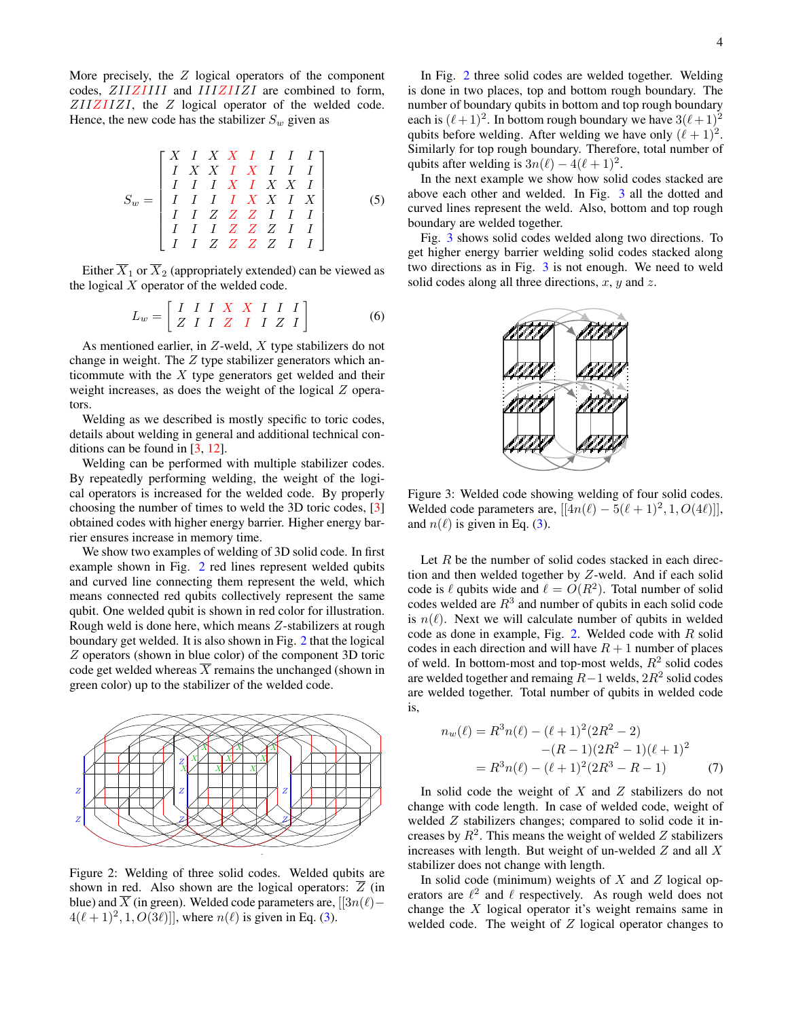More precisely, the  $Z$  logical operators of the component codes, ZIIZIIII and IIIZIIZI are combined to form,  $ZIIZIIZI$ , the  $Z$  logical operator of the welded code. Hence, the new code has the stabilizer  $S_w$  given as

S<sup>w</sup> = X I X X I I I I I X X I X I I I I I I X I X X I I I I I X X I X I I Z Z Z I I I I I I Z Z Z I I I I Z Z Z Z I I (5)

Either  $\overline{X}_1$  or  $\overline{X}_2$  (appropriately extended) can be viewed as the logical  $X$  operator of the welded code.

$$
L_w = \left[ \begin{array}{cccccc} I & I & I & X & X & I & I & I \\ Z & I & I & Z & I & I & Z & I \\ \end{array} \right] \tag{6}
$$

As mentioned earlier, in  $Z$ -weld,  $X$  type stabilizers do not change in weight. The  $Z$  type stabilizer generators which anticommute with the  $X$  type generators get welded and their weight increases, as does the weight of the logical Z operators.

Welding as we described is mostly specific to toric codes, details about welding in general and additional technical conditions can be found in [\[3,](#page-16-2) [12\]](#page-16-11).

Welding can be performed with multiple stabilizer codes. By repeatedly performing welding, the weight of the logical operators is increased for the welded code. By properly choosing the number of times to weld the 3D toric codes, [\[3\]](#page-16-2) obtained codes with higher energy barrier. Higher energy barrier ensures increase in memory time.

We show two examples of welding of 3D solid code. In first example shown in Fig. [2](#page-3-0) red lines represent welded qubits and curved line connecting them represent the weld, which means connected red qubits collectively represent the same qubit. One welded qubit is shown in red color for illustration. Rough weld is done here, which means Z-stabilizers at rough boundary get welded. It is also shown in Fig. [2](#page-3-0) that the logical Z operators (shown in blue color) of the component 3D toric code get welded whereas  $X$  remains the unchanged (shown in green color) up to the stabilizer of the welded code.

<span id="page-3-0"></span>

Figure 2: Welding of three solid codes. Welded qubits are shown in red. Also shown are the logical operators:  $\overline{Z}$  (in blue) and  $\overline{X}$  (in green). Welded code parameters are, [[3 $n(\ell)$ −  $4(\ell + 1)^2, 1, O(3\ell)$ ], where  $n(\ell)$  is given in Eq. [\(3\)](#page-2-0).

In Fig. [2](#page-3-0) three solid codes are welded together. Welding is done in two places, top and bottom rough boundary. The number of boundary qubits in bottom and top rough boundary each is  $(\ell + 1)^2$ . In bottom rough boundary we have  $3(\ell + 1)^2$ qubits before welding. After welding we have only  $(\ell + 1)^2$ . Similarly for top rough boundary. Therefore, total number of qubits after welding is  $3n(\ell) - 4(\ell + 1)^2$ .

In the next example we show how solid codes stacked are above each other and welded. In Fig. [3](#page-3-1) all the dotted and curved lines represent the weld. Also, bottom and top rough boundary are welded together.

<span id="page-3-1"></span>Fig. [3](#page-3-1) shows solid codes welded along two directions. To get higher energy barrier welding solid codes stacked along two directions as in Fig. [3](#page-3-1) is not enough. We need to weld solid codes along all three directions,  $x$ ,  $y$  and  $z$ .



Figure 3: Welded code showing welding of four solid codes. Welded code parameters are,  $[[4n(\ell) - 5(\ell + 1)^2, 1, O(4\ell)]]$ , and  $n(\ell)$  is given in Eq. [\(3\)](#page-2-0).

Let  $R$  be the number of solid codes stacked in each direction and then welded together by Z-weld. And if each solid code is  $\ell$  qubits wide and  $\ell = O(R^2)$ . Total number of solid codes welded are  $R<sup>3</sup>$  and number of qubits in each solid code is  $n(\ell)$ . Next we will calculate number of qubits in welded code as done in example, Fig. [2.](#page-3-0) Welded code with  $R$  solid codes in each direction and will have  $R + 1$  number of places of weld. In bottom-most and top-most welds,  $R^2$  solid codes are welded together and remaing  $R-1$  welds,  $2R^2$  solid codes are welded together. Total number of qubits in welded code is,

$$
n_w(\ell) = R^3 n(\ell) - (\ell + 1)^2 (2R^2 - 2)
$$
  
-(R - 1)(2R<sup>2</sup> - 1)(\ell + 1)<sup>2</sup>  
= R<sup>3</sup>n(\ell) - (\ell + 1)^2 (2R<sup>3</sup> - R - 1) (7)

In solid code the weight of  $X$  and  $Z$  stabilizers do not change with code length. In case of welded code, weight of welded Z stabilizers changes; compared to solid code it increases by  $R^2$ . This means the weight of welded Z stabilizers increases with length. But weight of un-welded  $Z$  and all  $X$ stabilizer does not change with length.

In solid code (minimum) weights of  $X$  and  $Z$  logical operators are  $\ell^2$  and  $\ell$  respectively. As rough weld does not change the  $X$  logical operator it's weight remains same in welded code. The weight of  $Z$  logical operator changes to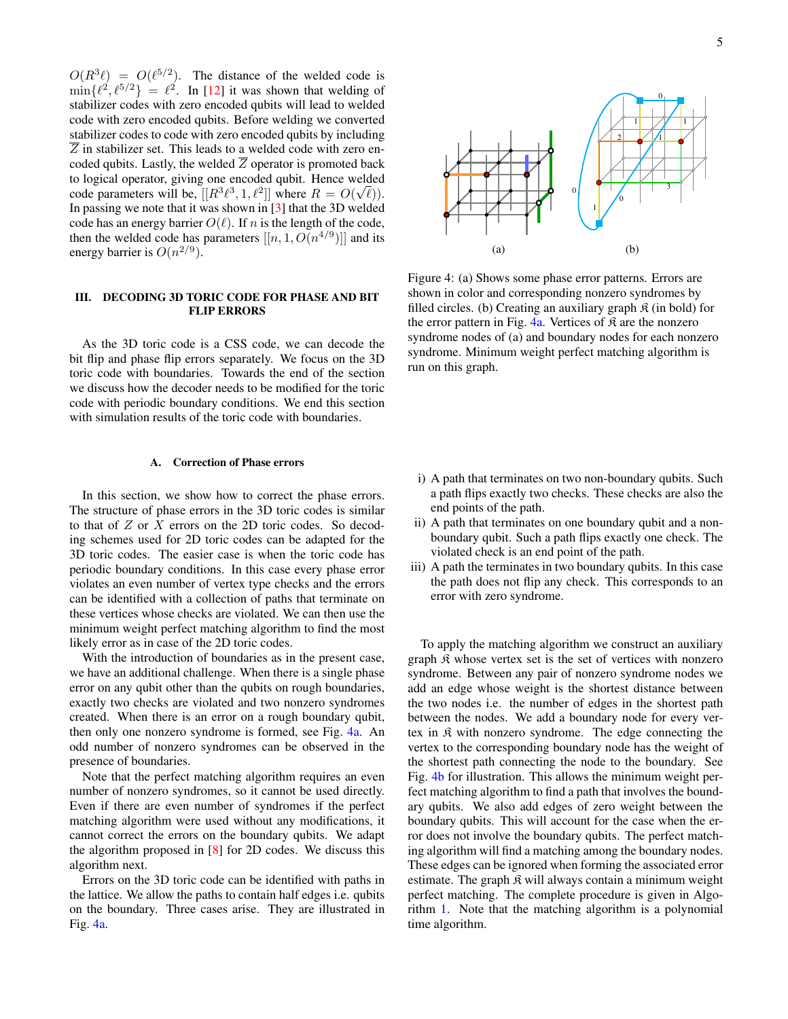$O(R^{3}\ell) = O(\ell^{5/2})$ . The distance of the welded code is  $\min\{\ell^2,\ell^{5/2}\} = \ell^2$ . In [\[12\]](#page-16-11) it was shown that welding of stabilizer codes with zero encoded qubits will lead to welded code with zero encoded qubits. Before welding we converted stabilizer codes to code with zero encoded qubits by including  $\overline{Z}$  in stabilizer set. This leads to a welded code with zero encoded qubits. Lastly, the welded  $\overline{Z}$  operator is promoted back to logical operator, giving one encoded qubit. Hence welded code parameters will be,  $[[R^3\ell^3, 1, \ell^2]]$  where  $R = O(\sqrt{\ell})$ ). In passing we note that it was shown in  $[3]$  that the 3D welded code has an energy barrier  $O(\ell)$ . If n is the length of the code, then the welded code has parameters  $[[n, 1, O(n^{4/9})]]$  and its energy barrier is  $O(n^{2/9})$ .

# <span id="page-4-0"></span>III. DECODING 3D TORIC CODE FOR PHASE AND BIT FLIP ERRORS

As the 3D toric code is a CSS code, we can decode the bit flip and phase flip errors separately. We focus on the 3D toric code with boundaries. Towards the end of the section we discuss how the decoder needs to be modified for the toric code with periodic boundary conditions. We end this section with simulation results of the toric code with boundaries.

## **Correction of Phase errors**

In this section, we show how to correct the phase errors. The structure of phase errors in the 3D toric codes is similar to that of  $Z$  or  $X$  errors on the 2D toric codes. So decoding schemes used for 2D toric codes can be adapted for the 3D toric codes. The easier case is when the toric code has periodic boundary conditions. In this case every phase error violates an even number of vertex type checks and the errors can be identified with a collection of paths that terminate on these vertices whose checks are violated. We can then use the minimum weight perfect matching algorithm to find the most likely error as in case of the 2D toric codes.

With the introduction of boundaries as in the present case, we have an additional challenge. When there is a single phase error on any qubit other than the qubits on rough boundaries, exactly two checks are violated and two nonzero syndromes created. When there is an error on a rough boundary qubit, then only one nonzero syndrome is formed, see Fig. [4a.](#page-4-1) An odd number of nonzero syndromes can be observed in the presence of boundaries.

Note that the perfect matching algorithm requires an even number of nonzero syndromes, so it cannot be used directly. Even if there are even number of syndromes if the perfect matching algorithm were used without any modifications, it cannot correct the errors on the boundary qubits. We adapt the algorithm proposed in [\[8\]](#page-16-7) for 2D codes. We discuss this algorithm next.

Errors on the 3D toric code can be identified with paths in the lattice. We allow the paths to contain half edges i.e. qubits on the boundary. Three cases arise. They are illustrated in Fig. [4a.](#page-4-1)

<span id="page-4-1"></span>

Figure 4: (a) Shows some phase error patterns. Errors are shown in color and corresponding nonzero syndromes by filled circles. (b) Creating an auxiliary graph  $\hat{\mathcal{R}}$  (in bold) for the error pattern in Fig.  $4a$ . Vertices of  $\hat{\mathcal{R}}$  are the nonzero syndrome nodes of (a) and boundary nodes for each nonzero syndrome. Minimum weight perfect matching algorithm is run on this graph.

- i) A path that terminates on two non-boundary qubits. Such a path flips exactly two checks. These checks are also the end points of the path.
- ii) A path that terminates on one boundary qubit and a nonboundary qubit. Such a path flips exactly one check. The violated check is an end point of the path.
- iii) A path the terminates in two boundary qubits. In this case the path does not flip any check. This corresponds to an error with zero syndrome.

To apply the matching algorithm we construct an auxiliary graph K whose vertex set is the set of vertices with nonzero syndrome. Between any pair of nonzero syndrome nodes we add an edge whose weight is the shortest distance between the two nodes i.e. the number of edges in the shortest path between the nodes. We add a boundary node for every vertex in  $\mathfrak K$  with nonzero syndrome. The edge connecting the vertex to the corresponding boundary node has the weight of the shortest path connecting the node to the boundary. See Fig. [4b](#page-4-1) for illustration. This allows the minimum weight perfect matching algorithm to find a path that involves the boundary qubits. We also add edges of zero weight between the boundary qubits. This will account for the case when the error does not involve the boundary qubits. The perfect matching algorithm will find a matching among the boundary nodes. These edges can be ignored when forming the associated error estimate. The graph  $\mathfrak K$  will always contain a minimum weight perfect matching. The complete procedure is given in Algorithm [1.](#page-5-0) Note that the matching algorithm is a polynomial time algorithm.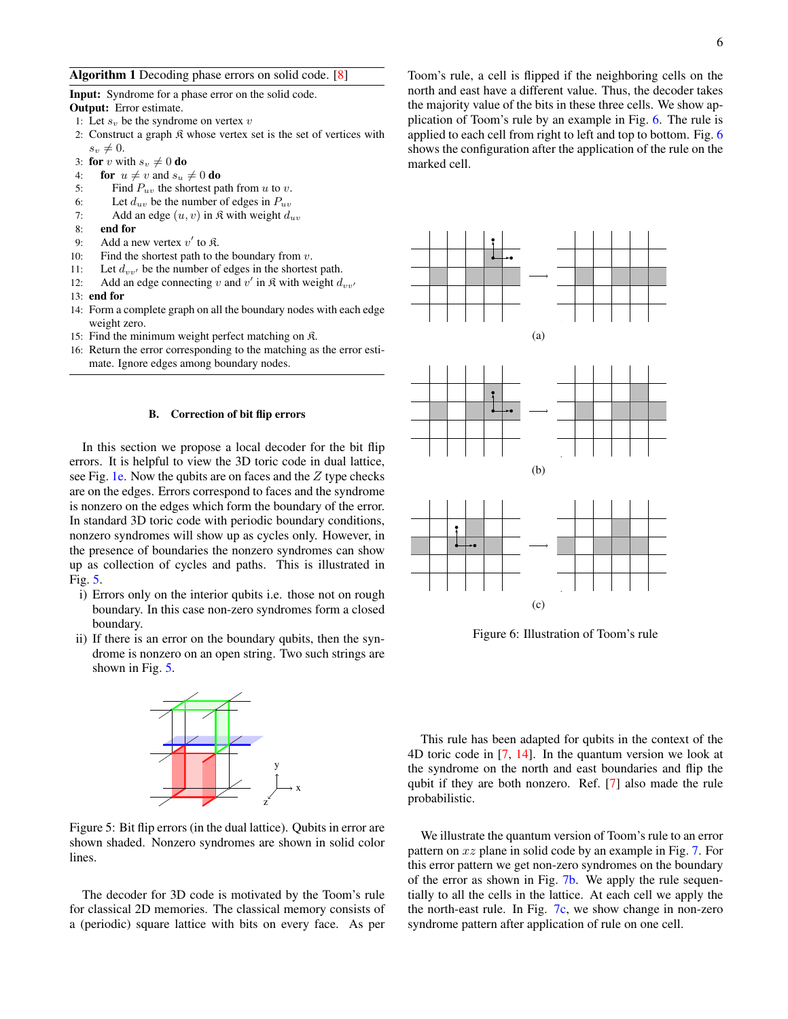## <span id="page-5-0"></span>Algorithm 1 Decoding phase errors on solid code. [\[8\]](#page-16-7)

Input: Syndrome for a phase error on the solid code.

- Output: Error estimate.
- 1: Let  $s_v$  be the syndrome on vertex  $v$
- 2: Construct a graph  $\mathfrak K$  whose vertex set is the set of vertices with  $s_v \neq 0.$
- 3: for v with  $s_v \neq 0$  do
- 4: **for**  $u \neq v$  and  $s_u \neq 0$  **do**
- 5: Find  $P_{uv}$  the shortest path from u to v.
- 6: Let  $d_{uv}$  be the number of edges in  $P_{uv}$
- 7: Add an edge  $(u, v)$  in  $\Re$  with weight  $d_{uv}$
- 8: end for
- 9: Add a new vertex  $v'$  to  $\mathfrak{K}$ .
- 10: Find the shortest path to the boundary from  $v$ .
- 11: Let  $d_{vv'}$  be the number of edges in the shortest path.
- 12: Add an edge connecting v and v' in  $\mathfrak{K}$  with weight  $d_{vv'}$
- 13: end for
- 14: Form a complete graph on all the boundary nodes with each edge weight zero.
- 15: Find the minimum weight perfect matching on K.
- 16: Return the error corresponding to the matching as the error estimate. Ignore edges among boundary nodes.

### B. Correction of bit flip errors

In this section we propose a local decoder for the bit flip errors. It is helpful to view the 3D toric code in dual lattice, see Fig. [1e.](#page-1-1) Now the qubits are on faces and the  $Z$  type checks are on the edges. Errors correspond to faces and the syndrome is nonzero on the edges which form the boundary of the error. In standard 3D toric code with periodic boundary conditions, nonzero syndromes will show up as cycles only. However, in the presence of boundaries the nonzero syndromes can show up as collection of cycles and paths. This is illustrated in Fig. [5.](#page-5-1)

- i) Errors only on the interior qubits i.e. those not on rough boundary. In this case non-zero syndromes form a closed boundary.
- <span id="page-5-1"></span>ii) If there is an error on the boundary qubits, then the syndrome is nonzero on an open string. Two such strings are shown in Fig. [5.](#page-5-1)



Figure 5: Bit flip errors (in the dual lattice). Qubits in error are shown shaded. Nonzero syndromes are shown in solid color lines.

The decoder for 3D code is motivated by the Toom's rule for classical 2D memories. The classical memory consists of a (periodic) square lattice with bits on every face. As per

Toom's rule, a cell is flipped if the neighboring cells on the north and east have a different value. Thus, the decoder takes the majority value of the bits in these three cells. We show application of Toom's rule by an example in Fig. [6.](#page-5-2) The rule is applied to each cell from right to left and top to bottom. Fig. [6](#page-5-2) shows the configuration after the application of the rule on the marked cell.

<span id="page-5-2"></span>





Figure 6: Illustration of Toom's rule

This rule has been adapted for qubits in the context of the 4D toric code in [\[7,](#page-16-6) [14\]](#page-16-13). In the quantum version we look at the syndrome on the north and east boundaries and flip the qubit if they are both nonzero. Ref. [\[7\]](#page-16-6) also made the rule probabilistic.

We illustrate the quantum version of Toom's rule to an error pattern on xz plane in solid code by an example in Fig. [7.](#page-6-0) For this error pattern we get non-zero syndromes on the boundary of the error as shown in Fig. [7b.](#page-6-0) We apply the rule sequentially to all the cells in the lattice. At each cell we apply the the north-east rule. In Fig. [7c,](#page-6-0) we show change in non-zero syndrome pattern after application of rule on one cell.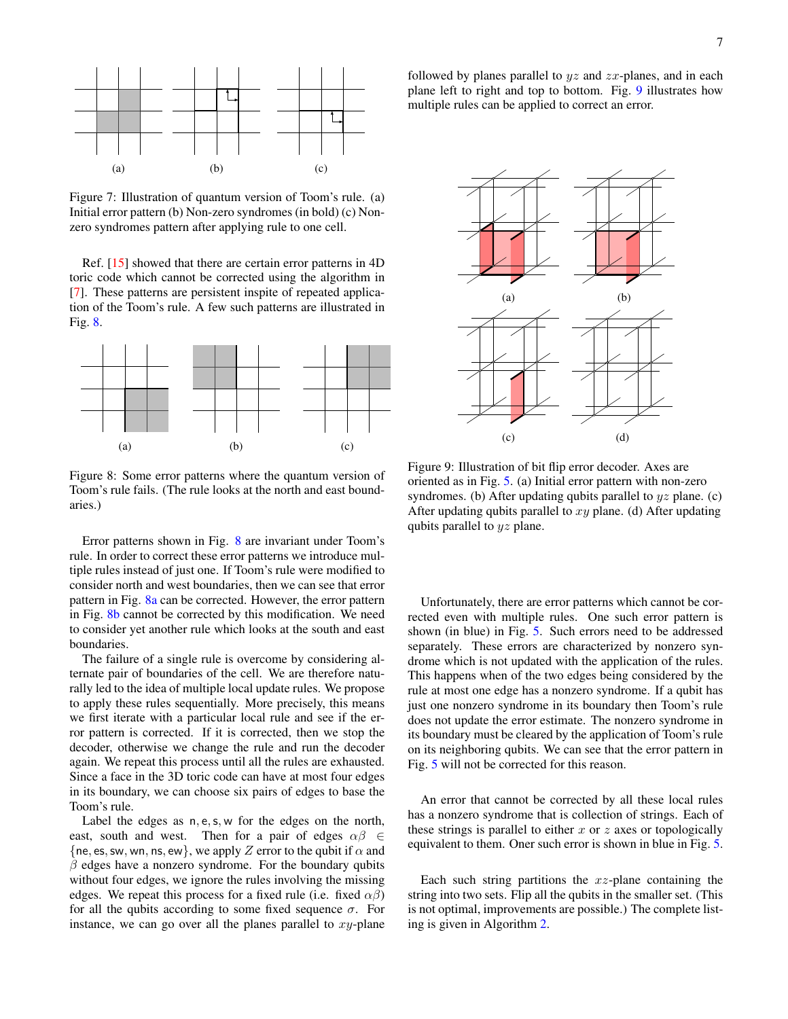<span id="page-6-0"></span>

Figure 7: Illustration of quantum version of Toom's rule. (a) Initial error pattern (b) Non-zero syndromes (in bold) (c) Nonzero syndromes pattern after applying rule to one cell.

Ref. [\[15\]](#page-16-14) showed that there are certain error patterns in 4D toric code which cannot be corrected using the algorithm in [\[7\]](#page-16-6). These patterns are persistent inspite of repeated application of the Toom's rule. A few such patterns are illustrated in Fig. [8.](#page-6-1)

<span id="page-6-1"></span>

Figure 8: Some error patterns where the quantum version of Toom's rule fails. (The rule looks at the north and east boundaries.)

Error patterns shown in Fig. [8](#page-6-1) are invariant under Toom's rule. In order to correct these error patterns we introduce multiple rules instead of just one. If Toom's rule were modified to consider north and west boundaries, then we can see that error pattern in Fig. [8a](#page-6-1) can be corrected. However, the error pattern in Fig. [8b](#page-6-1) cannot be corrected by this modification. We need to consider yet another rule which looks at the south and east boundaries.

The failure of a single rule is overcome by considering alternate pair of boundaries of the cell. We are therefore naturally led to the idea of multiple local update rules. We propose to apply these rules sequentially. More precisely, this means we first iterate with a particular local rule and see if the error pattern is corrected. If it is corrected, then we stop the decoder, otherwise we change the rule and run the decoder again. We repeat this process until all the rules are exhausted. Since a face in the 3D toric code can have at most four edges in its boundary, we can choose six pairs of edges to base the Toom's rule.

Label the edges as  $n, e, s, w$  for the edges on the north, east, south and west. Then for a pair of edges  $\alpha\beta \in$ {ne, es, sw, wn, ns, ew}, we apply Z error to the qubit if  $\alpha$  and  $\beta$  edges have a nonzero syndrome. For the boundary qubits without four edges, we ignore the rules involving the missing edges. We repeat this process for a fixed rule (i.e. fixed  $\alpha\beta$ ) for all the qubits according to some fixed sequence  $\sigma$ . For instance, we can go over all the planes parallel to  $xy$ -plane followed by planes parallel to  $yz$  and  $zx$ -planes, and in each plane left to right and top to bottom. Fig. [9](#page-6-2) illustrates how multiple rules can be applied to correct an error.

<span id="page-6-2"></span>

Figure 9: Illustration of bit flip error decoder. Axes are oriented as in Fig. [5.](#page-5-1) (a) Initial error pattern with non-zero syndromes. (b) After updating qubits parallel to  $yz$  plane. (c) After updating qubits parallel to  $xy$  plane. (d) After updating qubits parallel to yz plane.

Unfortunately, there are error patterns which cannot be corrected even with multiple rules. One such error pattern is shown (in blue) in Fig. [5.](#page-5-1) Such errors need to be addressed separately. These errors are characterized by nonzero syndrome which is not updated with the application of the rules. This happens when of the two edges being considered by the rule at most one edge has a nonzero syndrome. If a qubit has just one nonzero syndrome in its boundary then Toom's rule does not update the error estimate. The nonzero syndrome in its boundary must be cleared by the application of Toom's rule on its neighboring qubits. We can see that the error pattern in Fig. [5](#page-5-1) will not be corrected for this reason.

An error that cannot be corrected by all these local rules has a nonzero syndrome that is collection of strings. Each of these strings is parallel to either  $x$  or  $z$  axes or topologically equivalent to them. Oner such error is shown in blue in Fig. [5.](#page-5-1)

Each such string partitions the  $xz$ -plane containing the string into two sets. Flip all the qubits in the smaller set. (This is not optimal, improvements are possible.) The complete listing is given in Algorithm [2.](#page-7-0)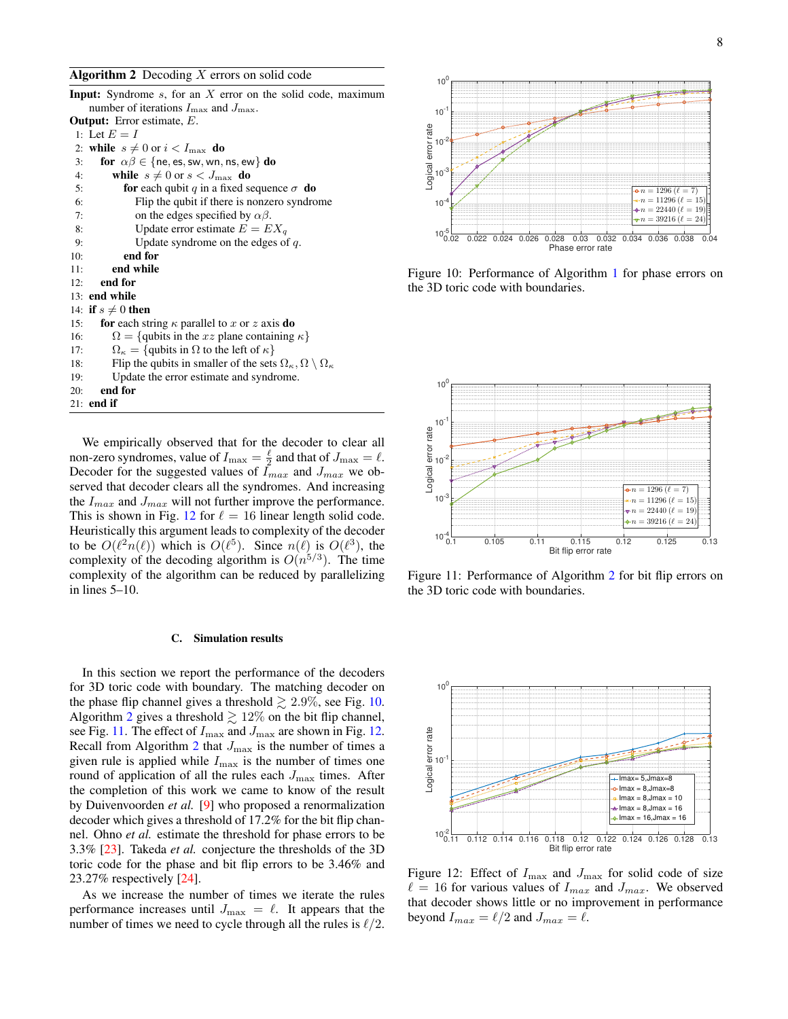## <span id="page-7-0"></span>Algorithm 2 Decoding  $X$  errors on solid code

naximum

| <b>Input:</b> Syndrome $s$ , for an $X$ error on the solid code, m                                                  |
|---------------------------------------------------------------------------------------------------------------------|
| number of iterations $I_{\text{max}}$ and $J_{\text{max}}$ .                                                        |
| <b>Output:</b> Error estimate, $E$ .                                                                                |
| 1: Let $E = I$                                                                                                      |
| 2: while $s \neq 0$ or $i < I_{\text{max}}$ do                                                                      |
| <b>for</b> $\alpha\beta \in \{\text{ne}, \text{es}, \text{sw}, \text{wn}, \text{ns}, \text{ew}\}\)$ <b>do</b><br>3: |
| while $s \neq 0$ or $s < J_{\text{max}}$ do<br>4:                                                                   |
| 5:<br><b>for</b> each qubit q in a fixed sequence $\sigma$ <b>do</b>                                                |
| 6:<br>Flip the qubit if there is nonzero syndrome                                                                   |
| on the edges specified by $\alpha\beta$ .<br>7:                                                                     |
| Update error estimate $E = EX_q$<br>8:                                                                              |
| Update syndrome on the edges of $q$ .<br>9:                                                                         |
| end for<br>10:                                                                                                      |
| end while<br>11:                                                                                                    |
| end for<br>12:                                                                                                      |
| 13: end while                                                                                                       |
| 14: if $s \neq 0$ then                                                                                              |
| for each string $\kappa$ parallel to x or z axis do<br>15:                                                          |
| $\Omega = \{$ qubits in the xz plane containing $\kappa\}$<br>16:                                                   |
| $\Omega_{\kappa} = \{\text{qubits in } \Omega \text{ to the left of } \kappa\}\$<br>17:                             |
| Flip the qubits in smaller of the sets $\Omega_{\kappa}, \Omega \setminus \Omega_{\kappa}$<br>18:                   |
| Update the error estimate and syndrome.<br>19:                                                                      |
| $20:$ end for                                                                                                       |
| $21:$ end if                                                                                                        |
|                                                                                                                     |

We empirically observed that for the decoder to clear all non-zero syndromes, value of  $I_{\text{max}} = \frac{\ell}{2}$  and that of  $J_{\text{max}} = \ell$ . Decoder for the suggested values of  $I_{max}$  and  $J_{max}$  we observed that decoder clears all the syndromes. And increasing the  $I_{max}$  and  $J_{max}$  will not further improve the performance. This is shown in Fig. [12](#page-7-1) for  $\ell = 16$  linear length solid code. Heuristically this argument leads to complexity of the decoder to be  $O(\ell^2 n(\ell))$  which is  $O(\ell^5)$ . Since  $n(\ell)$  is  $O(\ell^3)$ , the complexity of the decoding algorithm is  $O(n^{5/3})$ . The time complexity of the algorithm can be reduced by parallelizing in lines 5–10.

### C. Simulation results

In this section we report the performance of the decoders for 3D toric code with boundary. The matching decoder on the phase flip channel gives a threshold  $\geq 2.9\%$ , see Fig. [10.](#page-7-2) Algorithm [2](#page-7-0) gives a threshold  $\gtrsim 12\%$  on the bit flip channel, see Fig. [11.](#page-7-3) The effect of  $I_{\text{max}}$  and  $J_{\text{max}}$  are shown in Fig. [12.](#page-7-1) Recall from Algorithm [2](#page-7-0) that  $J_{\text{max}}$  is the number of times a given rule is applied while  $I_{\text{max}}$  is the number of times one round of application of all the rules each  $J_{\text{max}}$  times. After the completion of this work we came to know of the result by Duivenvoorden *et al.* [\[9\]](#page-16-8) who proposed a renormalization decoder which gives a threshold of 17.2% for the bit flip channel. Ohno *et al.* estimate the threshold for phase errors to be 3.3% [\[23\]](#page-17-0). Takeda *et al.* conjecture the thresholds of the 3D toric code for the phase and bit flip errors to be 3.46% and 23.27% respectively [\[24\]](#page-17-1).

As we increase the number of times we iterate the rules performance increases until  $J_{\text{max}} = \ell$ . It appears that the number of times we need to cycle through all the rules is  $\ell/2$ .

<span id="page-7-2"></span>

Figure 10: Performance of Algorithm [1](#page-5-0) for phase errors on the 3D toric code with boundaries.

<span id="page-7-3"></span>

Figure 11: Performance of Algorithm [2](#page-7-0) for bit flip errors on the 3D toric code with boundaries.

<span id="page-7-1"></span>

Figure 12: Effect of  $I_{\text{max}}$  and  $J_{\text{max}}$  for solid code of size  $\ell = 16$  for various values of  $I_{max}$  and  $J_{max}$ . We observed that decoder shows little or no improvement in performance beyond  $I_{max} = \ell/2$  and  $J_{max} = \ell$ .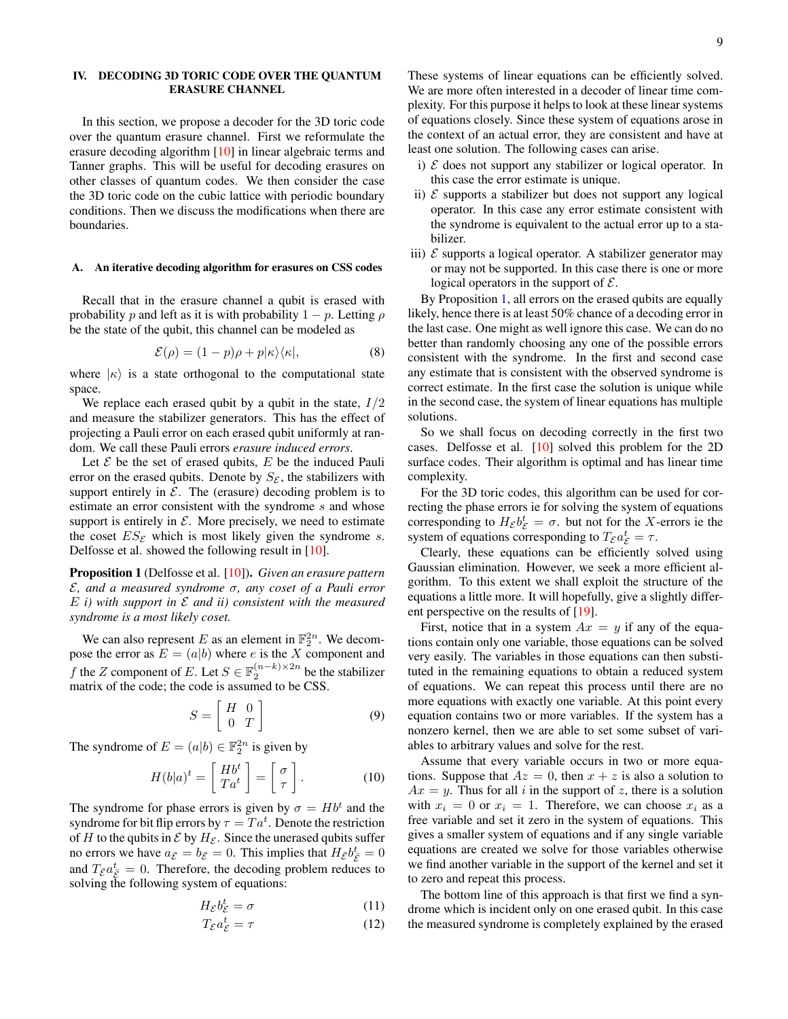## <span id="page-8-0"></span>IV. DECODING 3D TORIC CODE OVER THE QUANTUM ERASURE CHANNEL

In this section, we propose a decoder for the 3D toric code over the quantum erasure channel. First we reformulate the erasure decoding algorithm [\[10\]](#page-16-9) in linear algebraic terms and Tanner graphs. This will be useful for decoding erasures on other classes of quantum codes. We then consider the case the 3D toric code on the cubic lattice with periodic boundary conditions. Then we discuss the modifications when there are boundaries.

## A. An iterative decoding algorithm for erasures on CSS codes

Recall that in the erasure channel a qubit is erased with probability p and left as it is with probability  $1 - p$ . Letting  $\rho$ be the state of the qubit, this channel can be modeled as

$$
\mathcal{E}(\rho) = (1 - p)\rho + p|\kappa\rangle\langle\kappa|,\tag{8}
$$

where  $|\kappa\rangle$  is a state orthogonal to the computational state space.

We replace each erased qubit by a qubit in the state,  $I/2$ and measure the stabilizer generators. This has the effect of projecting a Pauli error on each erased qubit uniformly at random. We call these Pauli errors *erasure induced errors*.

Let  $\mathcal E$  be the set of erased qubits,  $E$  be the induced Pauli error on the erased qubits. Denote by  $S_{\mathcal{E}}$ , the stabilizers with support entirely in  $\mathcal{E}$ . The (erasure) decoding problem is to estimate an error consistent with the syndrome s and whose support is entirely in  $\mathcal{E}$ . More precisely, we need to estimate the coset  $ES_{\mathcal{E}}$  which is most likely given the syndrome s. Delfosse et al. showed the following result in [\[10\]](#page-16-9).

<span id="page-8-1"></span>Proposition 1 (Delfosse et al. [\[10\]](#page-16-9)). *Given an erasure pattern* E*, and a measured syndrome* σ*, any coset of a Pauli error* E *i) with support in* E *and ii) consistent with the measured syndrome is a most likely coset.*

We can also represent E as an element in  $\mathbb{F}_2^{2n}$ . We decompose the error as  $E = (a|b)$  where e is the X component and f the Z component of E. Let  $S \in \mathbb{F}_2^{(n-k)\times 2n}$  be the stabilizer matrix of the code; the code is assumed to be CSS.

$$
S = \left[ \begin{array}{cc} H & 0 \\ 0 & T \end{array} \right] \tag{9}
$$

The syndrome of  $E = (a|b) \in \mathbb{F}_2^{2n}$  is given by

$$
H(b|a)^t = \left[\begin{array}{c} Hb^t \\ Ta^t \end{array}\right] = \left[\begin{array}{c} \sigma \\ \tau \end{array}\right].\tag{10}
$$

The syndrome for phase errors is given by  $\sigma = Hb^t$  and the syndrome for bit flip errors by  $\tau= T a^t.$  Denote the restriction of H to the qubits in  $\mathcal E$  by  $H_{\mathcal E}$ . Since the unerased qubits suffer no errors we have  $a_{\bar{\mathcal{E}}} = b_{\bar{\mathcal{E}}} = 0$ . This implies that  $H_{\bar{\mathcal{E}}} b_{\bar{\mathcal{E}}}^t = 0$ and  $T_{\bar{\varepsilon}} a_{\bar{\varepsilon}}^t = 0$ . Therefore, the decoding problem reduces to solving the following system of equations:

<span id="page-8-2"></span>
$$
H_{\mathcal{E}}b_{\mathcal{E}}^t = \sigma \tag{11}
$$

$$
T_{\mathcal{E}}a_{\mathcal{E}}^t = \tau \tag{12}
$$

These systems of linear equations can be efficiently solved. We are more often interested in a decoder of linear time complexity. For this purpose it helps to look at these linear systems of equations closely. Since these system of equations arose in the context of an actual error, they are consistent and have at least one solution. The following cases can arise.

- i)  $\mathcal E$  does not support any stabilizer or logical operator. In this case the error estimate is unique.
- ii)  $\mathcal E$  supports a stabilizer but does not support any logical operator. In this case any error estimate consistent with the syndrome is equivalent to the actual error up to a stabilizer.
- iii)  $\mathcal E$  supports a logical operator. A stabilizer generator may or may not be supported. In this case there is one or more logical operators in the support of  $\mathcal{E}$ .

By Proposition [1,](#page-8-1) all errors on the erased qubits are equally likely, hence there is at least 50% chance of a decoding error in the last case. One might as well ignore this case. We can do no better than randomly choosing any one of the possible errors consistent with the syndrome. In the first and second case any estimate that is consistent with the observed syndrome is correct estimate. In the first case the solution is unique while in the second case, the system of linear equations has multiple solutions.

So we shall focus on decoding correctly in the first two cases. Delfosse et al. [\[10\]](#page-16-9) solved this problem for the 2D surface codes. Their algorithm is optimal and has linear time complexity.

For the 3D toric codes, this algorithm can be used for correcting the phase errors ie for solving the system of equations corresponding to  $H_{\mathcal{E}}b_{\mathcal{E}}^{t} = \sigma$ . but not for the X-errors ie the system of equations corresponding to  $T_{\mathcal{E}} a_{\mathcal{E}}^t = \tau$ .

Clearly, these equations can be efficiently solved using Gaussian elimination. However, we seek a more efficient algorithm. To this extent we shall exploit the structure of the equations a little more. It will hopefully, give a slightly different perspective on the results of [\[19\]](#page-16-21).

First, notice that in a system  $Ax = y$  if any of the equations contain only one variable, those equations can be solved very easily. The variables in those equations can then substituted in the remaining equations to obtain a reduced system of equations. We can repeat this process until there are no more equations with exactly one variable. At this point every equation contains two or more variables. If the system has a nonzero kernel, then we are able to set some subset of variables to arbitrary values and solve for the rest.

Assume that every variable occurs in two or more equations. Suppose that  $Az = 0$ , then  $x + z$  is also a solution to  $Ax = y$ . Thus for all i in the support of z, there is a solution with  $x_i = 0$  or  $x_i = 1$ . Therefore, we can choose  $x_i$  as a free variable and set it zero in the system of equations. This gives a smaller system of equations and if any single variable equations are created we solve for those variables otherwise we find another variable in the support of the kernel and set it to zero and repeat this process.

The bottom line of this approach is that first we find a syndrome which is incident only on one erased qubit. In this case the measured syndrome is completely explained by the erased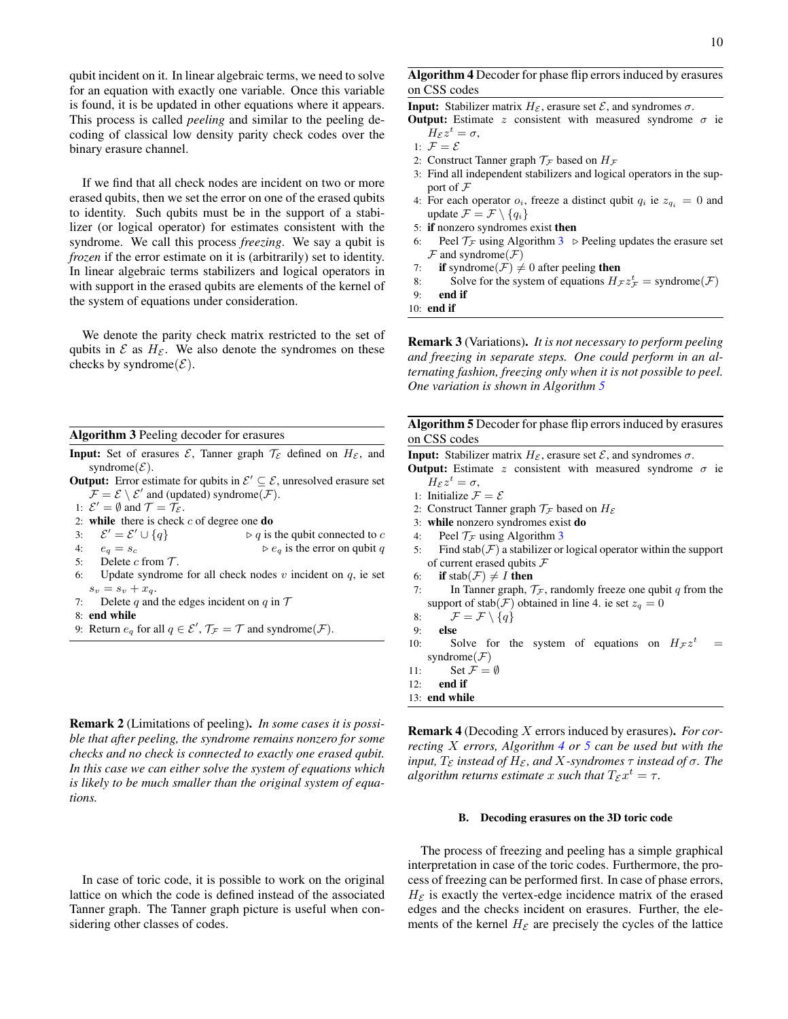qubit incident on it. In linear algebraic terms, we need to solve for an equation with exactly one variable. Once this variable is found, it is be updated in other equations where it appears. This process is called *peeling* and similar to the peeling decoding of classical low density parity check codes over the binary erasure channel.

If we find that all check nodes are incident on two or more erased qubits, then we set the error on one of the erased qubits to identity. Such qubits must be in the support of a stabilizer (or logical operator) for estimates consistent with the syndrome. We call this process *freezing*. We say a qubit is *frozen* if the error estimate on it is (arbitrarily) set to identity. In linear algebraic terms stabilizers and logical operators in with support in the erased qubits are elements of the kernel of the system of equations under consideration.

We denote the parity check matrix restricted to the set of qubits in  $\mathcal E$  as  $H_{\mathcal E}$ . We also denote the syndromes on these checks by syndrome $(\mathcal{E})$ .

<span id="page-9-0"></span>Algorithm 3 Peeling decoder for erasures

- **Input:** Set of erasures  $\mathcal{E}$ , Tanner graph  $\mathcal{T}_{\mathcal{E}}$  defined on  $H_{\mathcal{E}}$ , and syndrome $(\mathcal{E})$ .
- **Output:** Error estimate for qubits in  $\mathcal{E}' \subseteq \mathcal{E}$ , unresolved erasure set  $\mathcal{F} = \mathcal{E} \setminus \mathcal{E}'$  and (updated) syndrome( $\mathcal{F}$ ).

1:  $\mathcal{E}' = \emptyset$  and  $\mathcal{T} = \mathcal{T}_{\mathcal{E}}$ .

- 2: while there is check  $c$  of degree one do
- 3:  $\mathcal{E}' = \mathcal{E}$  $\triangleright$  q is the qubit connected to c
- 4:  $e_q = s_c$   $\triangleright e_q$  is the error on qubit q
- 5: Delete c from  $\mathcal{T}$ .
- 6: Update syndrome for all check nodes  $v$  incident on  $q$ , ie set  $s_v = s_v + x_q.$
- 7: Delete q and the edges incident on q in  $\mathcal T$
- 8: end while
- 9: Return  $e_q$  for all  $q \in \mathcal{E}', \mathcal{T}_{\mathcal{F}} = \mathcal{T}$  and syndrome $(\mathcal{F})$ .

Remark 2 (Limitations of peeling). *In some cases it is possible that after peeling, the syndrome remains nonzero for some checks and no check is connected to exactly one erased qubit. In this case we can either solve the system of equations which is likely to be much smaller than the original system of equations.*

In case of toric code, it is possible to work on the original lattice on which the code is defined instead of the associated Tanner graph. The Tanner graph picture is useful when considering other classes of codes.

# <span id="page-9-2"></span>Algorithm 4 Decoder for phase flip errors induced by erasures on CSS codes

**Input:** Stabilizer matrix  $H_{\mathcal{E}}$ , erasure set  $\mathcal{E}$ , and syndromes  $\sigma$ .

- **Output:** Estimate z consistent with measured syndrome  $\sigma$  ie  $H_{\mathcal{E}}z^t=\sigma,$
- 1:  $\mathcal{F} = \mathcal{E}$
- 2: Construct Tanner graph  $\mathcal{T}_\mathcal{F}$  based on  $H_\mathcal{F}$
- 3: Find all independent stabilizers and logical operators in the support of  $\mathcal F$
- 4: For each operator  $o_i$ , freeze a distinct qubit  $q_i$  ie  $z_{q_i} = 0$  and update  $\mathcal{F} = \mathcal{F} \setminus \{q_i\}$
- 5: if nonzero syndromes exist then
- 6: Peel  $\mathcal{T}_{\mathcal{F}}$  using Algorithm [3](#page-9-0)  $\triangleright$  Peeling updates the erasure set  $\mathcal F$  and syndrome( $\mathcal F$ )
- 7: if syndrome( $\mathcal{F}$ )  $\neq$  0 after peeling then
- 8: Solve for the system of equations  $H_{\mathcal{F}} z_{\mathcal{F}}^t =$  syndrome $(\mathcal{F})$

9: end if

10: end if

Remark 3 (Variations). *It is not necessary to perform peeling and freezing in separate steps. One could perform in an alternating fashion, freezing only when it is not possible to peel. One variation is shown in Algorithm [5](#page-9-1)*

<span id="page-9-1"></span>Algorithm 5 Decoder for phase flip errors induced by erasures on CSS codes

**Input:** Stabilizer matrix  $H_{\mathcal{E}}$ , erasure set  $\mathcal{E}$ , and syndromes  $\sigma$ .

- **Output:** Estimate z consistent with measured syndrome  $\sigma$  ie  $H_{\mathcal{E}}z^t=\sigma,$
- 1: Initialize  $\mathcal{F} = \mathcal{E}$
- 2: Construct Tanner graph  $\mathcal{T}_{\mathcal{F}}$  based on  $H_{\mathcal{E}}$
- 3: while nonzero syndromes exist do
- 4: Peel  $\mathcal{T}_{\mathcal{F}}$  using Algorithm [3](#page-9-0)
- 5: Find stab( $\mathcal{F}$ ) a stabilizer or logical operator within the support of current erased qubits  $F$
- 6: if stab $(\mathcal{F}) \neq I$  then
- 7: In Tanner graph,  $\mathcal{T}_{\mathcal{F}}$ , randomly freeze one qubit q from the support of stab( $\mathcal{F}$ ) obtained in line 4. ie set  $z_q = 0$
- 8:  $\mathcal{F} = \mathcal{F} \setminus \{q\}$
- 9: else
- 10: Solve for the system of equations on  $H_{\mathcal{F}} z^t$  $\equiv$ syndrome $(F)$
- 11: Set  $\mathcal{F} = \emptyset$
- 12: end if
- 13: end while

Remark 4 (Decoding X errors induced by erasures). *For correcting* X *errors, Algorithm [4](#page-9-2) or [5](#page-9-1) can be used but with the input,*  $T_{\mathcal{E}}$  *instead of*  $H_{\mathcal{E}}$ *, and*  $X$ *-syndromes*  $\tau$  *instead of*  $\sigma$ *. The*  $algorithm$  returns estimate  $x$  such that  $T_{\mathcal E} x^t = \tau.$ 

### B. Decoding erasures on the 3D toric code

The process of freezing and peeling has a simple graphical interpretation in case of the toric codes. Furthermore, the process of freezing can be performed first. In case of phase errors,  $H_{\mathcal{E}}$  is exactly the vertex-edge incidence matrix of the erased edges and the checks incident on erasures. Further, the elements of the kernel  $H_{\mathcal{E}}$  are precisely the cycles of the lattice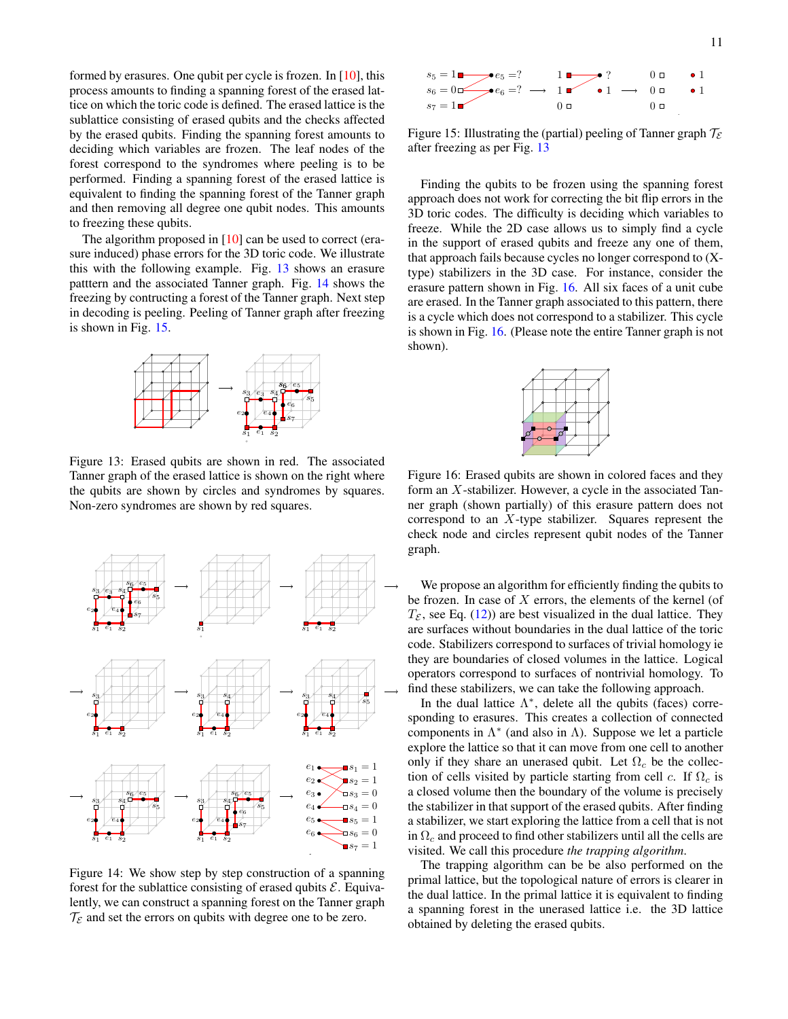formed by erasures. One qubit per cycle is frozen. In [\[10\]](#page-16-9), this process amounts to finding a spanning forest of the erased lattice on which the toric code is defined. The erased lattice is the sublattice consisting of erased qubits and the checks affected by the erased qubits. Finding the spanning forest amounts to deciding which variables are frozen. The leaf nodes of the forest correspond to the syndromes where peeling is to be performed. Finding a spanning forest of the erased lattice is equivalent to finding the spanning forest of the Tanner graph and then removing all degree one qubit nodes. This amounts to freezing these qubits.

The algorithm proposed in [\[10\]](#page-16-9) can be used to correct (erasure induced) phase errors for the 3D toric code. We illustrate this with the following example. Fig. [13](#page-10-0) shows an erasure patttern and the associated Tanner graph. Fig. [14](#page-10-1) shows the freezing by contructing a forest of the Tanner graph. Next step in decoding is peeling. Peeling of Tanner graph after freezing is shown in Fig. [15.](#page-10-2)

<span id="page-10-0"></span>

Figure 13: Erased qubits are shown in red. The associated Tanner graph of the erased lattice is shown on the right where the qubits are shown by circles and syndromes by squares. Non-zero syndromes are shown by red squares.

<span id="page-10-1"></span>

Figure 14: We show step by step construction of a spanning forest for the sublattice consisting of erased qubits  $\mathcal{E}$ . Equivalently, we can construct a spanning forest on the Tanner graph  $\mathcal{T}_{\mathcal{E}}$  and set the errors on qubits with degree one to be zero.

<span id="page-10-2"></span>

Figure 15: Illustrating the (partial) peeling of Tanner graph  $\mathcal{T}_{\mathcal{E}}$ after freezing as per Fig. [13](#page-10-0)

Finding the qubits to be frozen using the spanning forest approach does not work for correcting the bit flip errors in the 3D toric codes. The difficulty is deciding which variables to freeze. While the 2D case allows us to simply find a cycle in the support of erased qubits and freeze any one of them, that approach fails because cycles no longer correspond to (Xtype) stabilizers in the 3D case. For instance, consider the erasure pattern shown in Fig. [16.](#page-10-3) All six faces of a unit cube are erased. In the Tanner graph associated to this pattern, there is a cycle which does not correspond to a stabilizer. This cycle is shown in Fig. [16.](#page-10-3) (Please note the entire Tanner graph is not shown).

<span id="page-10-3"></span>

Figure 16: Erased qubits are shown in colored faces and they form an X-stabilizer. However, a cycle in the associated Tanner graph (shown partially) of this erasure pattern does not correspond to an X-type stabilizer. Squares represent the check node and circles represent qubit nodes of the Tanner graph.

We propose an algorithm for efficiently finding the qubits to be frozen. In case of  $X$  errors, the elements of the kernel (of  $T_{\mathcal{E}}$ , see Eq. [\(12\)](#page-8-2)) are best visualized in the dual lattice. They are surfaces without boundaries in the dual lattice of the toric code. Stabilizers correspond to surfaces of trivial homology ie they are boundaries of closed volumes in the lattice. Logical operators correspond to surfaces of nontrivial homology. To find these stabilizers, we can take the following approach.

In the dual lattice  $\Lambda^*$ , delete all the qubits (faces) corresponding to erasures. This creates a collection of connected components in  $\Lambda^*$  (and also in  $\Lambda$ ). Suppose we let a particle explore the lattice so that it can move from one cell to another only if they share an unerased qubit. Let  $\Omega_c$  be the collection of cells visited by particle starting from cell c. If  $\Omega_c$  is a closed volume then the boundary of the volume is precisely the stabilizer in that support of the erased qubits. After finding a stabilizer, we start exploring the lattice from a cell that is not in  $\Omega_c$  and proceed to find other stabilizers until all the cells are visited. We call this procedure *the trapping algorithm*.

The trapping algorithm can be be also performed on the primal lattice, but the topological nature of errors is clearer in the dual lattice. In the primal lattice it is equivalent to finding a spanning forest in the unerased lattice i.e. the 3D lattice obtained by deleting the erased qubits.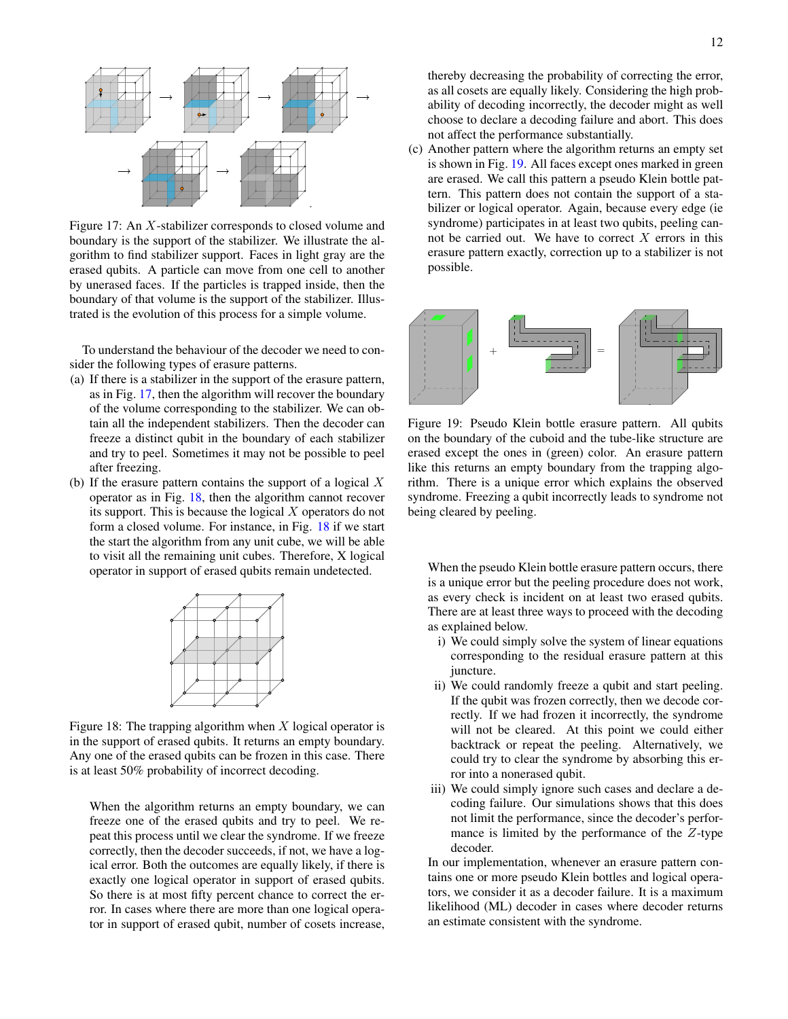<span id="page-11-0"></span>

Figure 17: An X-stabilizer corresponds to closed volume and boundary is the support of the stabilizer. We illustrate the algorithm to find stabilizer support. Faces in light gray are the erased qubits. A particle can move from one cell to another by unerased faces. If the particles is trapped inside, then the boundary of that volume is the support of the stabilizer. Illustrated is the evolution of this process for a simple volume.

To understand the behaviour of the decoder we need to consider the following types of erasure patterns.

- (a) If there is a stabilizer in the support of the erasure pattern, as in Fig. [17,](#page-11-0) then the algorithm will recover the boundary of the volume corresponding to the stabilizer. We can obtain all the independent stabilizers. Then the decoder can freeze a distinct qubit in the boundary of each stabilizer and try to peel. Sometimes it may not be possible to peel after freezing.
- (b) If the erasure pattern contains the support of a logical  $X$ operator as in Fig. [18,](#page-11-1) then the algorithm cannot recover its support. This is because the logical X operators do not form a closed volume. For instance, in Fig. [18](#page-11-1) if we start the start the algorithm from any unit cube, we will be able to visit all the remaining unit cubes. Therefore, X logical operator in support of erased qubits remain undetected.

<span id="page-11-1"></span>

Figure 18: The trapping algorithm when  $X$  logical operator is in the support of erased qubits. It returns an empty boundary. Any one of the erased qubits can be frozen in this case. There is at least 50% probability of incorrect decoding.

When the algorithm returns an empty boundary, we can freeze one of the erased qubits and try to peel. We repeat this process until we clear the syndrome. If we freeze correctly, then the decoder succeeds, if not, we have a logical error. Both the outcomes are equally likely, if there is exactly one logical operator in support of erased qubits. So there is at most fifty percent chance to correct the error. In cases where there are more than one logical operator in support of erased qubit, number of cosets increase, thereby decreasing the probability of correcting the error, as all cosets are equally likely. Considering the high probability of decoding incorrectly, the decoder might as well choose to declare a decoding failure and abort. This does not affect the performance substantially.

(c) Another pattern where the algorithm returns an empty set is shown in Fig. [19.](#page-11-2) All faces except ones marked in green are erased. We call this pattern a pseudo Klein bottle pattern. This pattern does not contain the support of a stabilizer or logical operator. Again, because every edge (ie syndrome) participates in at least two qubits, peeling cannot be carried out. We have to correct  $X$  errors in this erasure pattern exactly, correction up to a stabilizer is not possible.

<span id="page-11-2"></span>

Figure 19: Pseudo Klein bottle erasure pattern. All qubits on the boundary of the cuboid and the tube-like structure are erased except the ones in (green) color. An erasure pattern like this returns an empty boundary from the trapping algorithm. There is a unique error which explains the observed syndrome. Freezing a qubit incorrectly leads to syndrome not being cleared by peeling.

When the pseudo Klein bottle erasure pattern occurs, there is a unique error but the peeling procedure does not work, as every check is incident on at least two erased qubits. There are at least three ways to proceed with the decoding as explained below.

- i) We could simply solve the system of linear equations corresponding to the residual erasure pattern at this juncture.
- rectly. If we had frozen it incorrectly, the syndrome ii) We could randomly freeze a qubit and start peeling. If the qubit was frozen correctly, then we decode corwill not be cleared. At this point we could either backtrack or repeat the peeling. Alternatively, we could try to clear the syndrome by absorbing this error into a nonerased qubit.
- iii) We could simply ignore such cases and declare a decoding failure. Our simulations shows that this does not limit the performance, since the decoder's performance is limited by the performance of the Z-type decoder.

In our implementation, whenever an erasure pattern contains one or more pseudo Klein bottles and logical operators, we consider it as a decoder failure. It is a maximum likelihood (ML) decoder in cases where decoder returns an estimate consistent with the syndrome.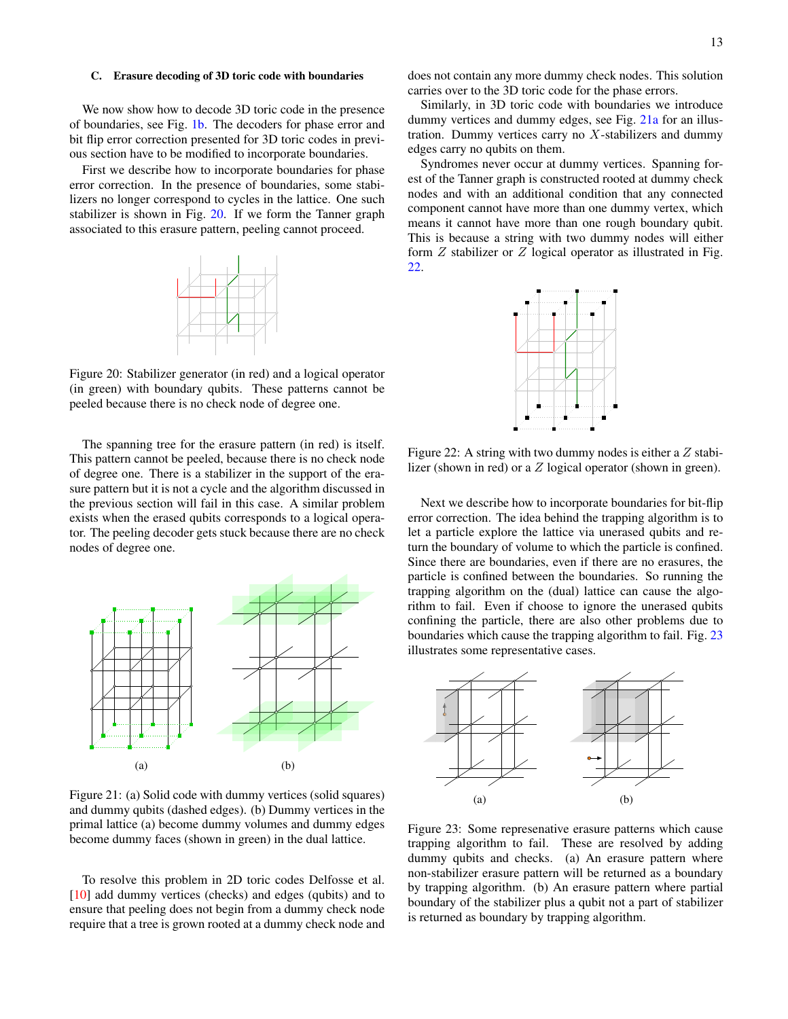## C. Erasure decoding of 3D toric code with boundaries

We now show how to decode 3D toric code in the presence of boundaries, see Fig. [1b.](#page-1-1) The decoders for phase error and bit flip error correction presented for 3D toric codes in previous section have to be modified to incorporate boundaries.

<span id="page-12-0"></span>First we describe how to incorporate boundaries for phase error correction. In the presence of boundaries, some stabilizers no longer correspond to cycles in the lattice. One such stabilizer is shown in Fig. [20.](#page-12-0) If we form the Tanner graph associated to this erasure pattern, peeling cannot proceed.



Figure 20: Stabilizer generator (in red) and a logical operator (in green) with boundary qubits. These patterns cannot be peeled because there is no check node of degree one.

The spanning tree for the erasure pattern (in red) is itself. This pattern cannot be peeled, because there is no check node of degree one. There is a stabilizer in the support of the erasure pattern but it is not a cycle and the algorithm discussed in the previous section will fail in this case. A similar problem exists when the erased qubits corresponds to a logical operator. The peeling decoder gets stuck because there are no check nodes of degree one.

<span id="page-12-1"></span>

Figure 21: (a) Solid code with dummy vertices (solid squares) and dummy qubits (dashed edges). (b) Dummy vertices in the primal lattice (a) become dummy volumes and dummy edges become dummy faces (shown in green) in the dual lattice.

To resolve this problem in 2D toric codes Delfosse et al. [\[10\]](#page-16-9) add dummy vertices (checks) and edges (qubits) and to ensure that peeling does not begin from a dummy check node require that a tree is grown rooted at a dummy check node and does not contain any more dummy check nodes. This solution carries over to the 3D toric code for the phase errors.

Similarly, in 3D toric code with boundaries we introduce dummy vertices and dummy edges, see Fig. [21a](#page-12-1) for an illustration. Dummy vertices carry no  $X$ -stabilizers and dummy edges carry no qubits on them.

Syndromes never occur at dummy vertices. Spanning forest of the Tanner graph is constructed rooted at dummy check nodes and with an additional condition that any connected component cannot have more than one dummy vertex, which means it cannot have more than one rough boundary qubit. This is because a string with two dummy nodes will either form  $Z$  stabilizer or  $Z$  logical operator as illustrated in Fig. [22.](#page-12-2)

<span id="page-12-2"></span>

Figure 22: A string with two dummy nodes is either a  $Z$  stabilizer (shown in red) or a Z logical operator (shown in green).

Next we describe how to incorporate boundaries for bit-flip error correction. The idea behind the trapping algorithm is to let a particle explore the lattice via unerased qubits and return the boundary of volume to which the particle is confined. Since there are boundaries, even if there are no erasures, the particle is confined between the boundaries. So running the trapping algorithm on the (dual) lattice can cause the algorithm to fail. Even if choose to ignore the unerased qubits confining the particle, there are also other problems due to boundaries which cause the trapping algorithm to fail. Fig. [23](#page-12-3) illustrates some representative cases.

<span id="page-12-3"></span>

Figure 23: Some represenative erasure patterns which cause trapping algorithm to fail. These are resolved by adding dummy qubits and checks. (a) An erasure pattern where non-stabilizer erasure pattern will be returned as a boundary by trapping algorithm. (b) An erasure pattern where partial boundary of the stabilizer plus a qubit not a part of stabilizer is returned as boundary by trapping algorithm.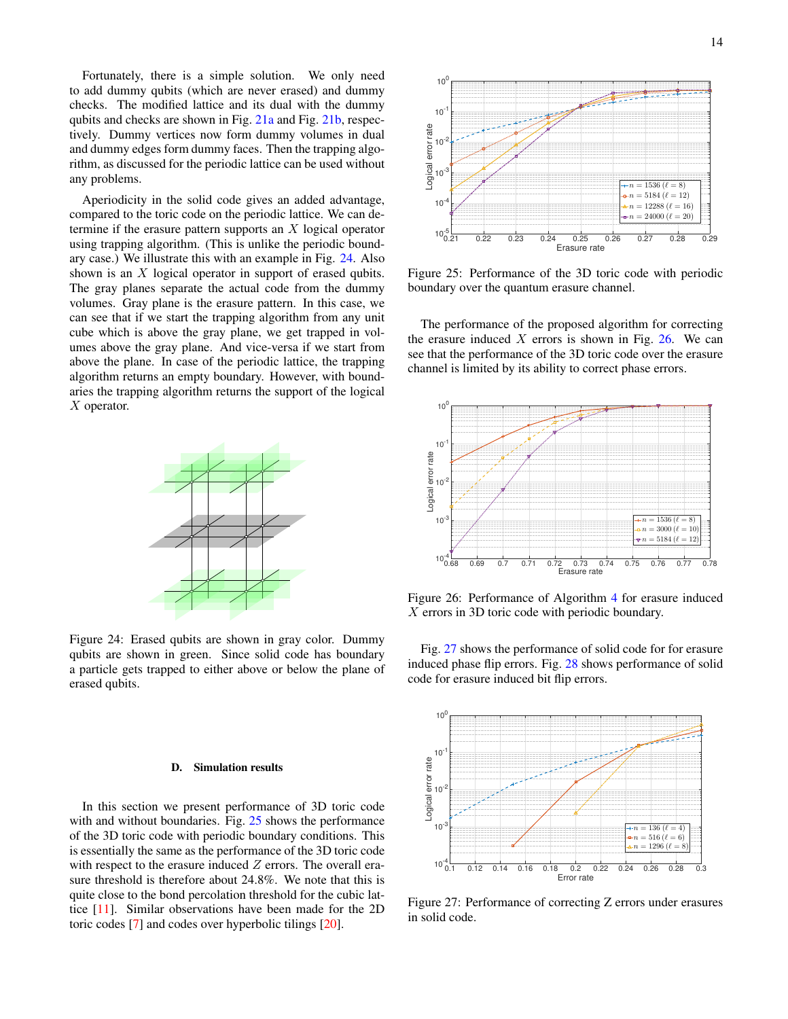Fortunately, there is a simple solution. We only need to add dummy qubits (which are never erased) and dummy checks. The modified lattice and its dual with the dummy qubits and checks are shown in Fig. [21a](#page-12-1) and Fig. [21b,](#page-12-1) respectively. Dummy vertices now form dummy volumes in dual and dummy edges form dummy faces. Then the trapping algorithm, as discussed for the periodic lattice can be used without any problems.

Aperiodicity in the solid code gives an added advantage, compared to the toric code on the periodic lattice. We can determine if the erasure pattern supports an  $X$  logical operator using trapping algorithm. (This is unlike the periodic boundary case.) We illustrate this with an example in Fig. [24.](#page-13-0) Also shown is an X logical operator in support of erased qubits. The gray planes separate the actual code from the dummy volumes. Gray plane is the erasure pattern. In this case, we can see that if we start the trapping algorithm from any unit cube which is above the gray plane, we get trapped in volumes above the gray plane. And vice-versa if we start from above the plane. In case of the periodic lattice, the trapping algorithm returns an empty boundary. However, with boundaries the trapping algorithm returns the support of the logical X operator.

<span id="page-13-0"></span>

Figure 24: Erased qubits are shown in gray color. Dummy qubits are shown in green. Since solid code has boundary a particle gets trapped to either above or below the plane of erased qubits.

#### D. Simulation results

In this section we present performance of 3D toric code with and without boundaries. Fig. [25](#page-13-1) shows the performance of the 3D toric code with periodic boundary conditions. This is essentially the same as the performance of the 3D toric code with respect to the erasure induced  $Z$  errors. The overall erasure threshold is therefore about 24.8%. We note that this is quite close to the bond percolation threshold for the cubic lattice [\[11\]](#page-16-10). Similar observations have been made for the 2D

<span id="page-13-1"></span>

Figure 25: Performance of the 3D toric code with periodic boundary over the quantum erasure channel.

<span id="page-13-2"></span>The performance of the proposed algorithm for correcting the erasure induced  $X$  errors is shown in Fig. [26.](#page-13-2) We can see that the performance of the 3D toric code over the erasure channel is limited by its ability to correct phase errors.



Figure 26: Performance of Algorithm [4](#page-9-2) for erasure induced X errors in 3D toric code with periodic boundary.

Fig. [27](#page-13-3) shows the performance of solid code for for erasure induced phase flip errors. Fig. [28](#page-14-1) shows performance of solid code for erasure induced bit flip errors.

<span id="page-13-3"></span>

Figure 27: Performance of correcting Z errors under erasures in solid code.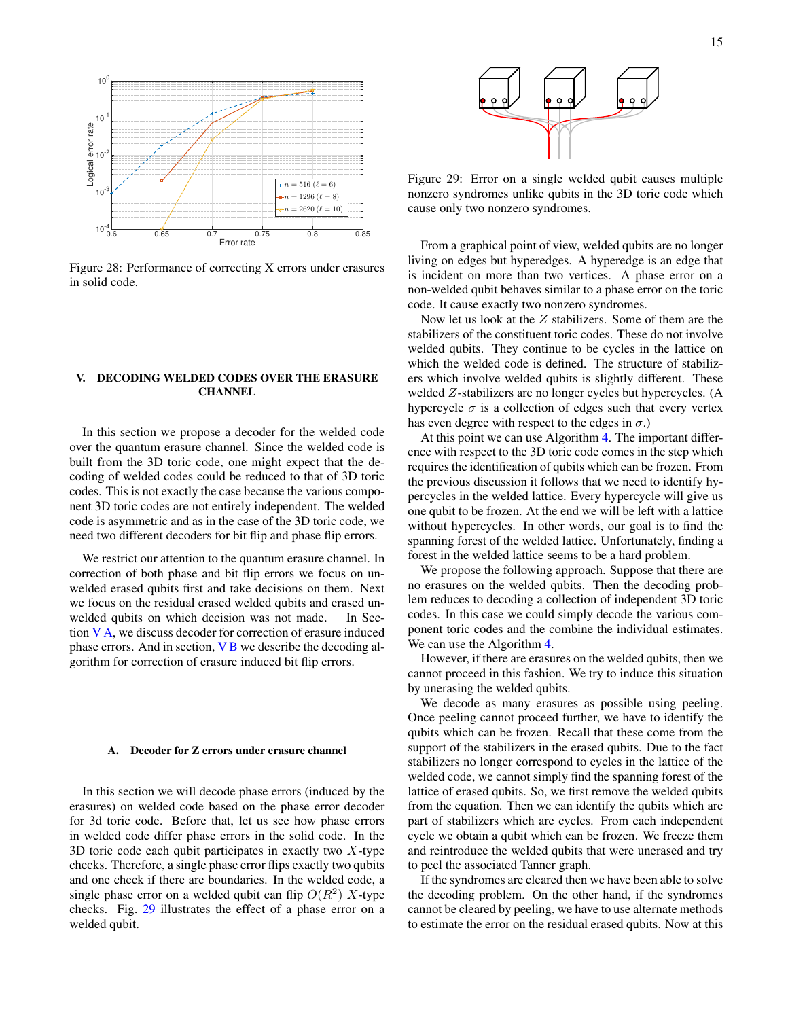<span id="page-14-1"></span>

Figure 28: Performance of correcting X errors under erasures in solid code.

# <span id="page-14-0"></span>V. DECODING WELDED CODES OVER THE ERASURE **CHANNEL**

In this section we propose a decoder for the welded code over the quantum erasure channel. Since the welded code is built from the 3D toric code, one might expect that the decoding of welded codes could be reduced to that of 3D toric codes. This is not exactly the case because the various component 3D toric codes are not entirely independent. The welded code is asymmetric and as in the case of the 3D toric code, we need two different decoders for bit flip and phase flip errors.

We restrict our attention to the quantum erasure channel. In correction of both phase and bit flip errors we focus on unwelded erased qubits first and take decisions on them. Next we focus on the residual erased welded qubits and erased unwelded qubits on which decision was not made. In Section  $V$  A, we discuss decoder for correction of erasure induced phase errors. And in section,  $V$  B we describe the decoding algorithm for correction of erasure induced bit flip errors.

## <span id="page-14-2"></span>A. Decoder for Z errors under erasure channel

In this section we will decode phase errors (induced by the erasures) on welded code based on the phase error decoder for 3d toric code. Before that, let us see how phase errors in welded code differ phase errors in the solid code. In the 3D toric code each qubit participates in exactly two  $X$ -type checks. Therefore, a single phase error flips exactly two qubits and one check if there are boundaries. In the welded code, a single phase error on a welded qubit can flip  $O(R^2)$  X-type checks. Fig. [29](#page-14-3) illustrates the effect of a phase error on a welded qubit.

<span id="page-14-3"></span>

Figure 29: Error on a single welded qubit causes multiple nonzero syndromes unlike qubits in the 3D toric code which cause only two nonzero syndromes.

From a graphical point of view, welded qubits are no longer living on edges but hyperedges. A hyperedge is an edge that is incident on more than two vertices. A phase error on a non-welded qubit behaves similar to a phase error on the toric code. It cause exactly two nonzero syndromes.

Now let us look at the Z stabilizers. Some of them are the stabilizers of the constituent toric codes. These do not involve welded qubits. They continue to be cycles in the lattice on which the welded code is defined. The structure of stabilizers which involve welded qubits is slightly different. These welded Z-stabilizers are no longer cycles but hypercycles. (A hypercycle  $\sigma$  is a collection of edges such that every vertex has even degree with respect to the edges in  $\sigma$ .)

At this point we can use Algorithm [4.](#page-9-2) The important difference with respect to the 3D toric code comes in the step which requires the identification of qubits which can be frozen. From the previous discussion it follows that we need to identify hypercycles in the welded lattice. Every hypercycle will give us one qubit to be frozen. At the end we will be left with a lattice without hypercycles. In other words, our goal is to find the spanning forest of the welded lattice. Unfortunately, finding a forest in the welded lattice seems to be a hard problem.

We propose the following approach. Suppose that there are no erasures on the welded qubits. Then the decoding problem reduces to decoding a collection of independent 3D toric codes. In this case we could simply decode the various component toric codes and the combine the individual estimates. We can use the Algorithm [4.](#page-9-2)

However, if there are erasures on the welded qubits, then we cannot proceed in this fashion. We try to induce this situation by unerasing the welded qubits.

We decode as many erasures as possible using peeling. Once peeling cannot proceed further, we have to identify the qubits which can be frozen. Recall that these come from the support of the stabilizers in the erased qubits. Due to the fact stabilizers no longer correspond to cycles in the lattice of the welded code, we cannot simply find the spanning forest of the lattice of erased qubits. So, we first remove the welded qubits from the equation. Then we can identify the qubits which are part of stabilizers which are cycles. From each independent cycle we obtain a qubit which can be frozen. We freeze them and reintroduce the welded qubits that were unerased and try to peel the associated Tanner graph.

If the syndromes are cleared then we have been able to solve the decoding problem. On the other hand, if the syndromes cannot be cleared by peeling, we have to use alternate methods to estimate the error on the residual erased qubits. Now at this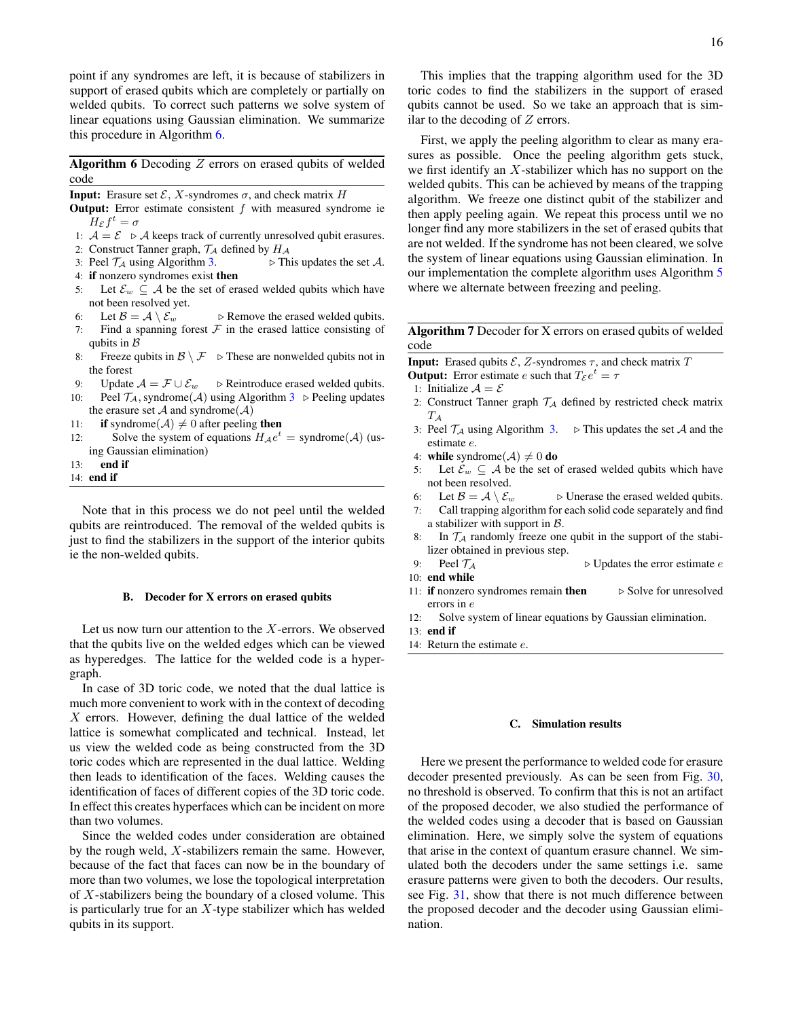point if any syndromes are left, it is because of stabilizers in support of erased qubits which are completely or partially on welded qubits. To correct such patterns we solve system of linear equations using Gaussian elimination. We summarize this procedure in Algorithm [6.](#page-15-1)

<span id="page-15-1"></span>Algorithm 6 Decoding  $Z$  errors on erased qubits of welded code

**Input:** Erasure set  $\mathcal{E}, X$ -syndromes  $\sigma$ , and check matrix H

- **Output:** Error estimate consistent  $f$  with measured syndrome ie  $H_{\mathcal{E}}f^t=\sigma$
- 1:  $A = \mathcal{E} \triangleright A$  keeps track of currently unresolved qubit erasures.
- 2: Construct Tanner graph,  $\mathcal{T}_\mathcal{A}$  defined by  $H_\mathcal{A}$
- 3: Peel  $\mathcal{T}_\mathcal{A}$  using Algorithm [3.](#page-9-0)  $\triangleright$  This updates the set A. 4: if nonzero syndromes exist then
- 5: Let  $\mathcal{E}_w \subseteq \mathcal{A}$  be the set of erased welded qubits which have not been resolved yet.
- 6: Let  $\mathcal{B} = \mathcal{A} \setminus \mathcal{E}_w$   $\triangleright$  Remove the erased welded qubits.
- 7: Find a spanning forest  $F$  in the erased lattice consisting of qubits in  $\beta$
- 8: Freeze qubits in  $\mathcal{B} \setminus \mathcal{F}$   $\triangleright$  These are nonwelded qubits not in the forest
- 9: Update  $A = \mathcal{F} \cup \mathcal{E}_w$   $\triangleright$  Reintroduce erased welded qubits.
- 10: Peel  $\mathcal{T}_A$ , syndrome( $\mathcal{A}$ ) using Algorithm [3](#page-9-0)  $\triangleright$  Peeling updates the erasure set  $A$  and syndrome( $A$ )
- 11: **if** syndrome( $A$ )  $\neq$  0 after peeling **then**
- 12: Solve the system of equations  $H_A e^t =$  syndrome(A) (using Gaussian elimination)
- 13: end if
- 14: end if

Note that in this process we do not peel until the welded qubits are reintroduced. The removal of the welded qubits is just to find the stabilizers in the support of the interior qubits ie the non-welded qubits.

#### <span id="page-15-0"></span>B. Decoder for X errors on erased qubits

Let us now turn our attention to the  $X$ -errors. We observed that the qubits live on the welded edges which can be viewed as hyperedges. The lattice for the welded code is a hypergraph.

In case of 3D toric code, we noted that the dual lattice is much more convenient to work with in the context of decoding  $X$  errors. However, defining the dual lattice of the welded lattice is somewhat complicated and technical. Instead, let us view the welded code as being constructed from the 3D toric codes which are represented in the dual lattice. Welding then leads to identification of the faces. Welding causes the identification of faces of different copies of the 3D toric code. In effect this creates hyperfaces which can be incident on more than two volumes.

Since the welded codes under consideration are obtained by the rough weld, X-stabilizers remain the same. However, because of the fact that faces can now be in the boundary of more than two volumes, we lose the topological interpretation of  $X$ -stabilizers being the boundary of a closed volume. This is particularly true for an  $X$ -type stabilizer which has welded qubits in its support.

This implies that the trapping algorithm used for the 3D toric codes to find the stabilizers in the support of erased qubits cannot be used. So we take an approach that is similar to the decoding of  $Z$  errors.

First, we apply the peeling algorithm to clear as many erasures as possible. Once the peeling algorithm gets stuck, we first identify an  $X$ -stabilizer which has no support on the welded qubits. This can be achieved by means of the trapping algorithm. We freeze one distinct qubit of the stabilizer and then apply peeling again. We repeat this process until we no longer find any more stabilizers in the set of erased qubits that are not welded. If the syndrome has not been cleared, we solve the system of linear equations using Gaussian elimination. In our implementation the complete algorithm uses Algorithm [5](#page-9-1) where we alternate between freezing and peeling.

Algorithm 7 Decoder for X errors on erased qubits of welded code

**Input:** Erased qubits  $\mathcal{E}, Z$ -syndromes  $\tau$ , and check matrix  $T$ **Output:** Error estimate *e* such that  $T_{\mathcal{E}}e^t = \tau$ 

- 1: Initialize  $A = \mathcal{E}$
- 2: Construct Tanner graph  $\mathcal{T}_A$  defined by restricted check matrix  $T_\mathcal{A}$
- 3: Peel  $\mathcal{T}_\mathcal{A}$  using Algorithm [3.](#page-9-0)  $\triangleright$  This updates the set A and the estimate e.
- 4: while syndrome( $A$ )  $\neq 0$  do
- 5: Let  $\mathcal{E}_w \subseteq \mathcal{A}$  be the set of erased welded qubits which have not been resolved.
- 6: Let  $\mathcal{B} = \mathcal{A} \setminus \mathcal{E}_w$   $\triangleright$  Unerase the erased welded qubits.
- 7: Call trapping algorithm for each solid code separately and find a stabilizer with support in  $B$ .
- 8: In  $\mathcal{T}_A$  randomly freeze one qubit in the support of the stabilizer obtained in previous step.
- 9: Peel  $\mathcal{T}_A$   $\triangleright$  Updates the error estimate e
- 10: end while
- 11: if nonzero syndromes remain then  $\triangleright$  Solve for unresolved errors in e
- 12: Solve system of linear equations by Gaussian elimination.
- 13: end if
- 14: Return the estimate e.

### C. Simulation results

Here we present the performance to welded code for erasure decoder presented previously. As can be seen from Fig. [30,](#page-16-22) no threshold is observed. To confirm that this is not an artifact of the proposed decoder, we also studied the performance of the welded codes using a decoder that is based on Gaussian elimination. Here, we simply solve the system of equations that arise in the context of quantum erasure channel. We simulated both the decoders under the same settings i.e. same erasure patterns were given to both the decoders. Our results, see Fig. [31,](#page-16-23) show that there is not much difference between the proposed decoder and the decoder using Gaussian elimination.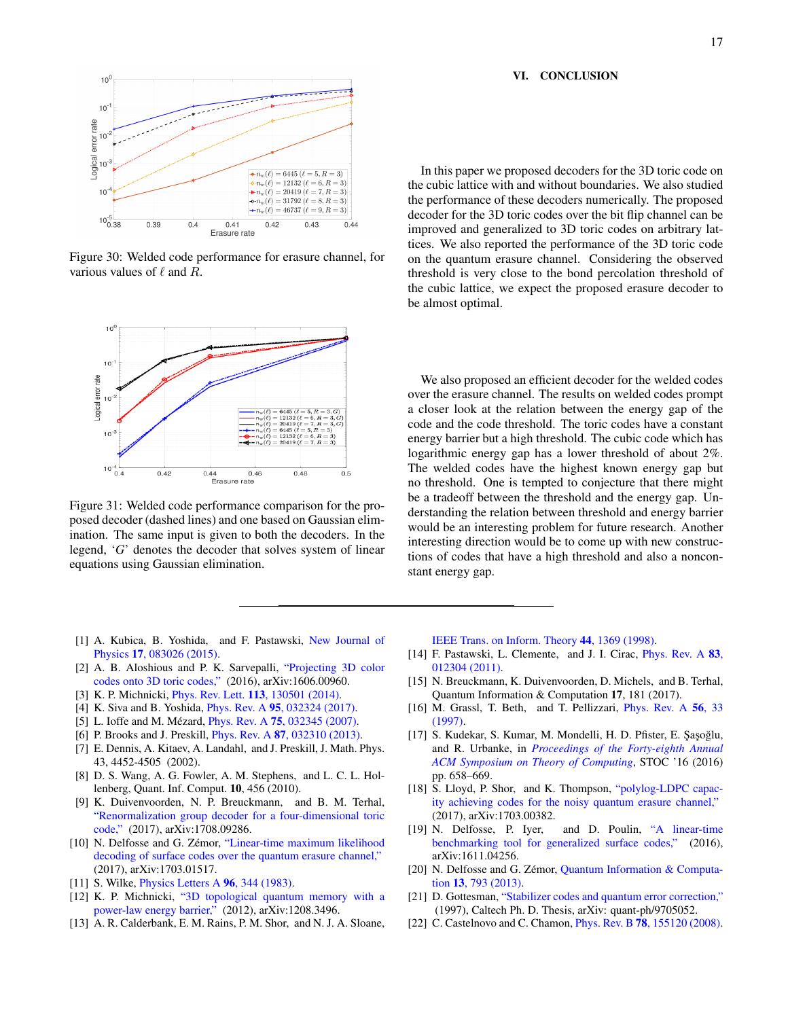## <span id="page-16-18"></span>VI. CONCLUSION

<span id="page-16-22"></span>

Figure 30: Welded code performance for erasure channel, for various values of  $\ell$  and  $R$ .

<span id="page-16-23"></span>

Figure 31: Welded code performance comparison for the proposed decoder (dashed lines) and one based on Gaussian elimination. The same input is given to both the decoders. In the legend, '*G*' denotes the decoder that solves system of linear equations using Gaussian elimination.

- <span id="page-16-0"></span>[1] A. Kubica, B. Yoshida, and F. Pastawski, [New Journal of](http://stacks.iop.org/1367-2630/17/i=8/a=083026) Physics 17[, 083026 \(2015\).](http://stacks.iop.org/1367-2630/17/i=8/a=083026)
- <span id="page-16-1"></span>[2] A. B. Aloshious and P. K. Sarvepalli, ["Projecting 3D color](https://arxiv.org/abs/1606.00960) [codes onto 3D toric codes,"](https://arxiv.org/abs/1606.00960) (2016), arXiv:1606.00960.
- <span id="page-16-2"></span>[3] K. P. Michnicki, Phys. Rev. Lett. 113[, 130501 \(2014\).](http://dx.doi.org/10.1103/PhysRevLett.113.130501)
- <span id="page-16-3"></span>[4] K. Siva and B. Yoshida, Phys. Rev. A 95[, 032324 \(2017\).](http://dx.doi.org/10.1103/PhysRevA.95.032324)
- <span id="page-16-4"></span>[5] L. Ioffe and M. Mézard, *Phys. Rev. A* **75**[, 032345 \(2007\).](http://dx.doi.org/10.1103/PhysRevA.75.032345)
- <span id="page-16-5"></span>[6] P. Brooks and J. Preskill, Phys. Rev. A 87[, 032310 \(2013\).](http://dx.doi.org/10.1103/PhysRevA.87.032310)
- <span id="page-16-6"></span>[7] E. Dennis, A. Kitaev, A. Landahl, and J. Preskill, J. Math. Phys. 43, 4452-4505 (2002).
- <span id="page-16-7"></span>[8] D. S. Wang, A. G. Fowler, A. M. Stephens, and L. C. L. Hollenberg, Quant. Inf. Comput. 10, 456 (2010).
- <span id="page-16-8"></span>[9] K. Duivenvoorden, N. P. Breuckmann, and B. M. Terhal, ["Renormalization group decoder for a four-dimensional toric](https://arxiv.org/abs/1708.09286) [code,"](https://arxiv.org/abs/1708.09286) (2017), arXiv:1708.09286.
- <span id="page-16-9"></span>[10] N. Delfosse and G. Zémor, ["Linear-time maximum likelihood](http://arxiv.org/abs/1703.01517) [decoding of surface codes over the quantum erasure channel,"](http://arxiv.org/abs/1703.01517) (2017), arXiv:1703.01517.
- <span id="page-16-10"></span>[11] S. Wilke, *[Physics Letters A](https://doi.org/10.1016/0375-9601(83)90005-1)* **96**, 344 (1983).
- <span id="page-16-11"></span>[12] K. P. Michnicki, ["3D topological quantum memory with a](https://arxiv.org/abs/1208.3496) [power-law energy barrier,"](https://arxiv.org/abs/1208.3496) (2012), arXiv:1208.3496.
- <span id="page-16-12"></span>[13] A. R. Calderbank, E. M. Rains, P. M. Shor, and N. J. A. Sloane,

In this paper we proposed decoders for the 3D toric code on the cubic lattice with and without boundaries. We also studied the performance of these decoders numerically. The proposed decoder for the 3D toric codes over the bit flip channel can be improved and generalized to 3D toric codes on arbitrary lattices. We also reported the performance of the 3D toric code on the quantum erasure channel. Considering the observed threshold is very close to the bond percolation threshold of the cubic lattice, we expect the proposed erasure decoder to be almost optimal.

We also proposed an efficient decoder for the welded codes over the erasure channel. The results on welded codes prompt a closer look at the relation between the energy gap of the code and the code threshold. The toric codes have a constant energy barrier but a high threshold. The cubic code which has logarithmic energy gap has a lower threshold of about 2%. The welded codes have the highest known energy gap but no threshold. One is tempted to conjecture that there might be a tradeoff between the threshold and the energy gap. Understanding the relation between threshold and energy barrier would be an interesting problem for future research. Another interesting direction would be to come up with new constructions of codes that have a high threshold and also a nonconstant energy gap.

[IEEE Trans. on Inform. Theory](http://dx.doi.org/10.1109/18.681315) 44, 1369 (1998).

- <span id="page-16-13"></span>[14] F. Pastawski, L. Clemente, and J. I. Cirac, [Phys. Rev. A](http://dx.doi.org/10.1103/PhysRevA.83.012304) 83, [012304 \(2011\).](http://dx.doi.org/10.1103/PhysRevA.83.012304)
- <span id="page-16-14"></span>[15] N. Breuckmann, K. Duivenvoorden, D. Michels, and B. Terhal, Quantum Information & Computation 17, 181 (2017).
- <span id="page-16-15"></span>[16] M. Grassl, T. Beth, and T. Pellizzari, [Phys. Rev. A](http://dx.doi.org/10.1103/PhysRevA.56.33) 56, 33 [\(1997\).](http://dx.doi.org/10.1103/PhysRevA.56.33)
- <span id="page-16-16"></span>[17] S. Kudekar, S. Kumar, M. Mondelli, H. D. Pfister, E. Şaşoğlu, and R. Urbanke, in *[Proceedings of the Forty-eighth Annual](http://doi.acm.org/10.1145/2897518.2897584) [ACM Symposium on Theory of Computing](http://doi.acm.org/10.1145/2897518.2897584)*, STOC '16 (2016) pp. 658–669.
- [18] S. Lloyd, P. Shor, and K. Thompson, ["polylog-LDPC capac](http://arxiv.org/abs/1703.00382)[ity achieving codes for the noisy quantum erasure channel,"](http://arxiv.org/abs/1703.00382) (2017), arXiv:1703.00382.
- <span id="page-16-21"></span>[19] N. Delfosse, P. Iyer, and D. Poulin, ["A linear-time](http://arxiv.org/abs/1611.04256) [benchmarking tool for generalized surface codes,"](http://arxiv.org/abs/1611.04256) (2016), arXiv:1611.04256.
- <span id="page-16-17"></span>[20] N. Delfosse and G. Zémor, Quantum Information  $&$  Computation 13[, 793 \(2013\).](http://dl.acm.org/citation.cfm?id=2535680.2535684)
- <span id="page-16-20"></span>[21] D. Gottesman, ["Stabilizer codes and quantum error correction,"](https://arxiv.org/abs/quant-ph/9705052) (1997), Caltech Ph. D. Thesis, arXiv: quant-ph/9705052.
- <span id="page-16-19"></span>[22] C. Castelnovo and C. Chamon, *Phys. Rev. B* **78**[, 155120 \(2008\).](http://dx.doi.org/10.1103/PhysRevB.78.155120)